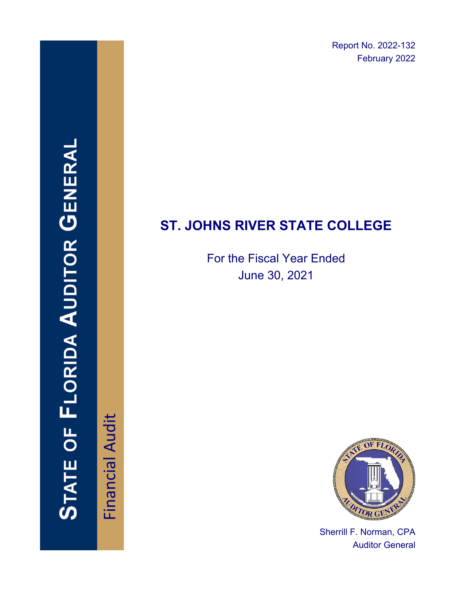Report No. 2022-132 February 2022

# **STATE OF FLORIDA AUDITOR GENERAL**

Financial Audit Financial Audit

# **ST. JOHNS RIVER STATE COLLEGE**

For the Fiscal Year Ended June 30, 2021



Sherrill F. Norman, CPA Auditor General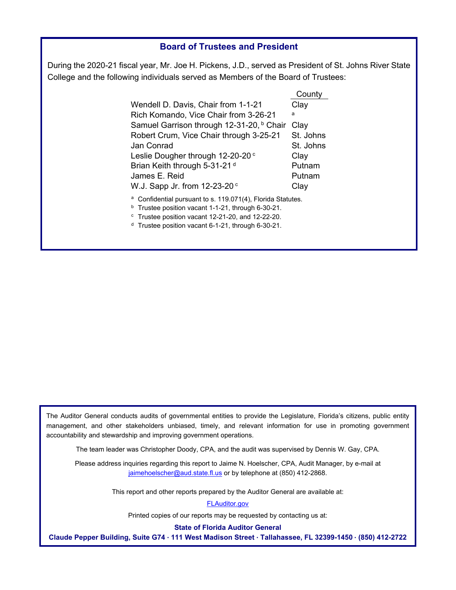#### **Board of Trustees and President**

During the 2020-21 fiscal year, Mr. Joe H. Pickens, J.D., served as President of St. Johns River State College and the following individuals served as Members of the Board of Trustees:

|                                                      | County    |
|------------------------------------------------------|-----------|
| Wendell D. Davis, Chair from 1-1-21                  | Clay      |
| Rich Komando, Vice Chair from 3-26-21                | a         |
| Samuel Garrison through 12-31-20, <sup>b</sup> Chair | Clay      |
| Robert Crum, Vice Chair through 3-25-21              | St. Johns |
| Jan Conrad                                           | St. Johns |
| Leslie Dougher through 12-20-20 <sup>c</sup>         | Clay      |
| Brian Keith through 5-31-21 <sup>d</sup>             | Putnam    |
| James E. Reid                                        | Putnam    |
| W.J. Sapp Jr. from 12-23-20°                         | Clay      |
|                                                      |           |

<sup>a</sup> Confidential pursuant to s. 119.071(4), Florida Statutes.<br>
<sup>b</sup> Trustee position vacant 1-1-21, through 6-30-21.<br>
<sup>c</sup> Trustee position vacant 6-1-21, through 6-30-21.

The Auditor General conducts audits of governmental entities to provide the Legislature, Florida's citizens, public entity management, and other stakeholders unbiased, timely, and relevant information for use in promoting government accountability and stewardship and improving government operations.

The team leader was Christopher Doody, CPA, and the audit was supervised by Dennis W. Gay, CPA.

Please address inquiries regarding this report to Jaime N. Hoelscher, CPA, Audit Manager, by e-mail at jaimehoelscher@aud.state.fl.us or by telephone at (850) 412-2868.

This report and other reports prepared by the Auditor General are available at:

[FLAuditor.gov](http://flauditor.gov/) 

Printed copies of our reports may be requested by contacting us at:

**State of Florida Auditor General** 

**Claude Pepper Building, Suite G74 · 111 West Madison Street · Tallahassee, FL 32399-1450 · (850) 412-2722**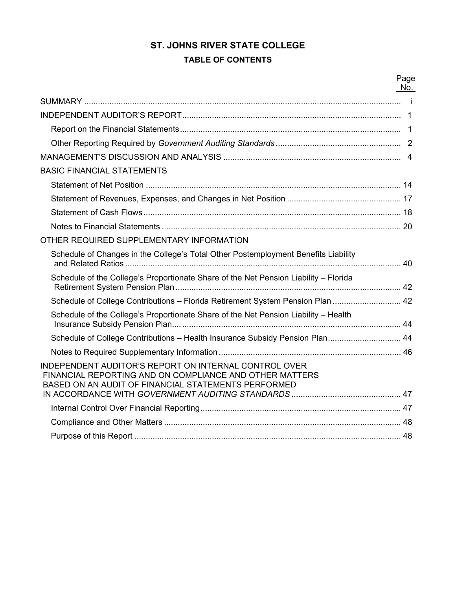# **ST. JOHNS RIVER STATE COLLEGE TABLE OF CONTENTS**

Page

|                                                                                                                                                                         | No. |
|-------------------------------------------------------------------------------------------------------------------------------------------------------------------------|-----|
|                                                                                                                                                                         |     |
|                                                                                                                                                                         |     |
|                                                                                                                                                                         |     |
|                                                                                                                                                                         |     |
|                                                                                                                                                                         |     |
| <b>BASIC FINANCIAL STATEMENTS</b>                                                                                                                                       |     |
|                                                                                                                                                                         |     |
|                                                                                                                                                                         |     |
|                                                                                                                                                                         |     |
|                                                                                                                                                                         |     |
| OTHER REQUIRED SUPPLEMENTARY INFORMATION                                                                                                                                |     |
| Schedule of Changes in the College's Total Other Postemployment Benefits Liability                                                                                      |     |
| Schedule of the College's Proportionate Share of the Net Pension Liability - Florida                                                                                    |     |
| Schedule of College Contributions - Florida Retirement System Pension Plan  42                                                                                          |     |
| Schedule of the College's Proportionate Share of the Net Pension Liability - Health                                                                                     |     |
| Schedule of College Contributions - Health Insurance Subsidy Pension Plan 44                                                                                            |     |
|                                                                                                                                                                         |     |
| INDEPENDENT AUDITOR'S REPORT ON INTERNAL CONTROL OVER<br>FINANCIAL REPORTING AND ON COMPLIANCE AND OTHER MATTERS<br>BASED ON AN AUDIT OF FINANCIAL STATEMENTS PERFORMED |     |
|                                                                                                                                                                         |     |
|                                                                                                                                                                         |     |
|                                                                                                                                                                         |     |
|                                                                                                                                                                         |     |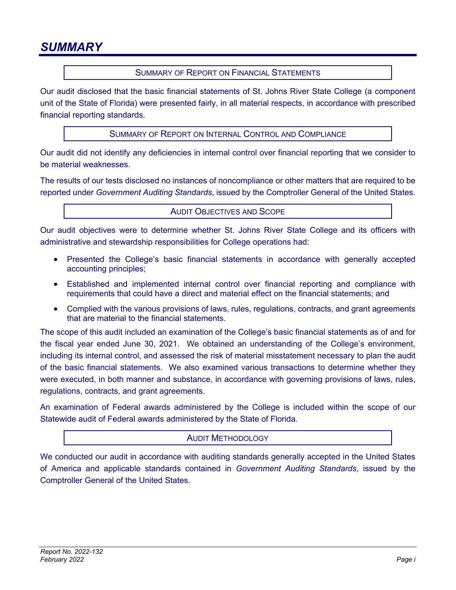#### SUMMARY OF REPORT ON FINANCIAL STATEMENTS

<span id="page-3-0"></span>Our audit disclosed that the basic financial statements of St. Johns River State College (a component unit of the State of Florida) were presented fairly, in all material respects, in accordance with prescribed financial reporting standards.

SUMMARY OF REPORT ON INTERNAL CONTROL AND COMPLIANCE

Our audit did not identify any deficiencies in internal control over financial reporting that we consider to be material weaknesses.

The results of our tests disclosed no instances of noncompliance or other matters that are required to be reported under *Government Auditing Standards*, issued by the Comptroller General of the United States.

#### AUDIT OBJECTIVES AND SCOPE

Our audit objectives were to determine whether St. Johns River State College and its officers with administrative and stewardship responsibilities for College operations had:

- Presented the College's basic financial statements in accordance with generally accepted accounting principles;
- Established and implemented internal control over financial reporting and compliance with requirements that could have a direct and material effect on the financial statements; and
- Complied with the various provisions of laws, rules, regulations, contracts, and grant agreements that are material to the financial statements.

The scope of this audit included an examination of the College's basic financial statements as of and for the fiscal year ended June 30, 2021. We obtained an understanding of the College's environment, including its internal control, and assessed the risk of material misstatement necessary to plan the audit of the basic financial statements. We also examined various transactions to determine whether they were executed, in both manner and substance, in accordance with governing provisions of laws, rules, regulations, contracts, and grant agreements.

An examination of Federal awards administered by the College is included within the scope of our Statewide audit of Federal awards administered by the State of Florida.

# AUDIT METHODOLOGY

We conducted our audit in accordance with auditing standards generally accepted in the United States of America and applicable standards contained in *Government Auditing Standards*, issued by the Comptroller General of the United States.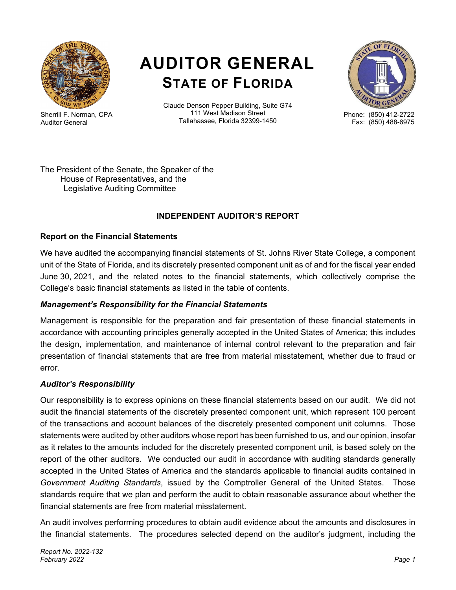<span id="page-4-0"></span>

Sherrill F. Norman, CPA Auditor General

# **AUDITOR GENERAL STATE OF FLORIDA**

Claude Denson Pepper Building, Suite G74 111 West Madison Street Tallahassee, Florida 32399-1450



Phone: (850) 412-2722 Fax: (850) 488-6975

The President of the Senate, the Speaker of the House of Representatives, and the Legislative Auditing Committee

# **INDEPENDENT AUDITOR'S REPORT**

# **Report on the Financial Statements**

We have audited the accompanying financial statements of St. Johns River State College, a component unit of the State of Florida, and its discretely presented component unit as of and for the fiscal year ended June 30, 2021, and the related notes to the financial statements, which collectively comprise the College's basic financial statements as listed in the table of contents.

# *Management's Responsibility for the Financial Statements*

Management is responsible for the preparation and fair presentation of these financial statements in accordance with accounting principles generally accepted in the United States of America; this includes the design, implementation, and maintenance of internal control relevant to the preparation and fair presentation of financial statements that are free from material misstatement, whether due to fraud or error.

# *Auditor's Responsibility*

Our responsibility is to express opinions on these financial statements based on our audit. We did not audit the financial statements of the discretely presented component unit, which represent 100 percent of the transactions and account balances of the discretely presented component unit columns. Those statements were audited by other auditors whose report has been furnished to us, and our opinion, insofar as it relates to the amounts included for the discretely presented component unit, is based solely on the report of the other auditors. We conducted our audit in accordance with auditing standards generally accepted in the United States of America and the standards applicable to financial audits contained in *Government Auditing Standards*, issued by the Comptroller General of the United States. Those standards require that we plan and perform the audit to obtain reasonable assurance about whether the financial statements are free from material misstatement.

An audit involves performing procedures to obtain audit evidence about the amounts and disclosures in the financial statements. The procedures selected depend on the auditor's judgment, including the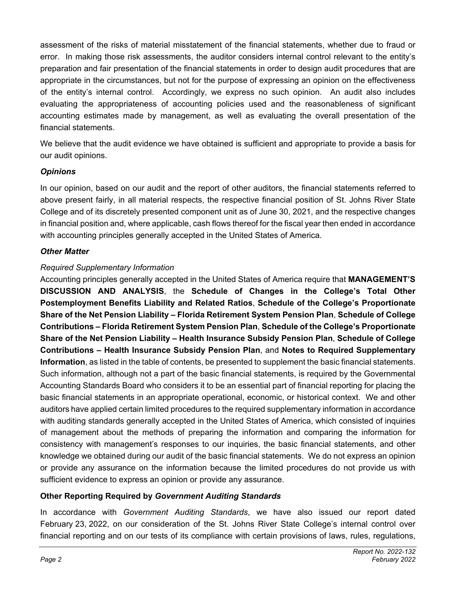<span id="page-5-0"></span>assessment of the risks of material misstatement of the financial statements, whether due to fraud or error. In making those risk assessments, the auditor considers internal control relevant to the entity's preparation and fair presentation of the financial statements in order to design audit procedures that are appropriate in the circumstances, but not for the purpose of expressing an opinion on the effectiveness of the entity's internal control. Accordingly, we express no such opinion. An audit also includes evaluating the appropriateness of accounting policies used and the reasonableness of significant accounting estimates made by management, as well as evaluating the overall presentation of the financial statements.

We believe that the audit evidence we have obtained is sufficient and appropriate to provide a basis for our audit opinions.

# *Opinions*

In our opinion, based on our audit and the report of other auditors, the financial statements referred to above present fairly, in all material respects, the respective financial position of St. Johns River State College and of its discretely presented component unit as of June 30, 2021, and the respective changes in financial position and, where applicable, cash flows thereof for the fiscal year then ended in accordance with accounting principles generally accepted in the United States of America.

# *Other Matter*

# *Required Supplementary Information*

Accounting principles generally accepted in the United States of America require that **MANAGEMENT'S DISCUSSION AND ANALYSIS**, the **Schedule of Changes in the College's Total Other Postemployment Benefits Liability and Related Ratios**, **Schedule of the College's Proportionate Share of the Net Pension Liability – Florida Retirement System Pension Plan**, **Schedule of College Contributions – Florida Retirement System Pension Plan**, **Schedule of the College's Proportionate Share of the Net Pension Liability – Health Insurance Subsidy Pension Plan**, **Schedule of College Contributions – Health Insurance Subsidy Pension Plan**, and **Notes to Required Supplementary Information**, as listed in the table of contents, be presented to supplement the basic financial statements. Such information, although not a part of the basic financial statements, is required by the Governmental Accounting Standards Board who considers it to be an essential part of financial reporting for placing the basic financial statements in an appropriate operational, economic, or historical context. We and other auditors have applied certain limited procedures to the required supplementary information in accordance with auditing standards generally accepted in the United States of America, which consisted of inquiries of management about the methods of preparing the information and comparing the information for consistency with management's responses to our inquiries, the basic financial statements, and other knowledge we obtained during our audit of the basic financial statements. We do not express an opinion or provide any assurance on the information because the limited procedures do not provide us with sufficient evidence to express an opinion or provide any assurance.

# **Other Reporting Required by** *Government Auditing Standards*

In accordance with *Government Auditing Standards*, we have also issued our report dated February 23, 2022, on our consideration of the St. Johns River State College's internal control over financial reporting and on our tests of its compliance with certain provisions of laws, rules, regulations,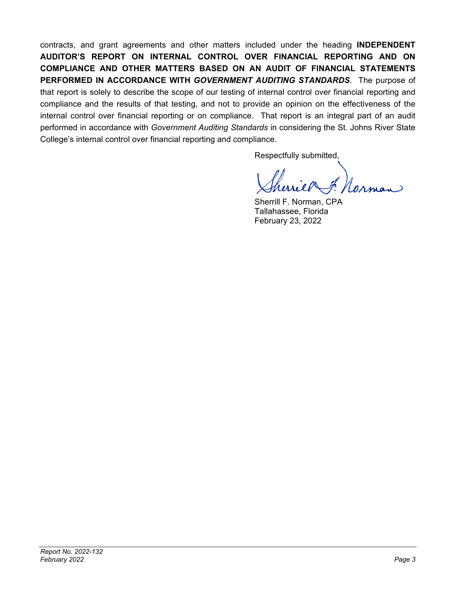contracts, and grant agreements and other matters included under the heading **INDEPENDENT AUDITOR'S REPORT ON INTERNAL CONTROL OVER FINANCIAL REPORTING AND ON COMPLIANCE AND OTHER MATTERS BASED ON AN AUDIT OF FINANCIAL STATEMENTS PERFORMED IN ACCORDANCE WITH** *GOVERNMENT AUDITING STANDARDS*. The purpose of that report is solely to describe the scope of our testing of internal control over financial reporting and compliance and the results of that testing, and not to provide an opinion on the effectiveness of the internal control over financial reporting or on compliance. That report is an integral part of an audit performed in accordance with *Government Auditing Standards* in considering the St. Johns River State College's internal control over financial reporting and compliance.

Respectfully submitted,

Sherrill F. Norman, CPA Tallahassee, Florida February 23, 2022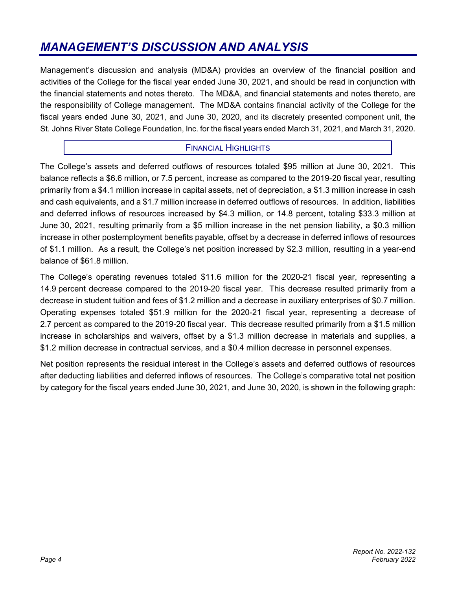# <span id="page-7-0"></span>*MANAGEMENT'S DISCUSSION AND ANALYSIS*

Management's discussion and analysis (MD&A) provides an overview of the financial position and activities of the College for the fiscal year ended June 30, 2021, and should be read in conjunction with the financial statements and notes thereto. The MD&A, and financial statements and notes thereto, are the responsibility of College management. The MD&A contains financial activity of the College for the fiscal years ended June 30, 2021, and June 30, 2020, and its discretely presented component unit, the St. Johns River State College Foundation, Inc. for the fiscal years ended March 31, 2021, and March 31, 2020.

# FINANCIAL HIGHLIGHTS

The College's assets and deferred outflows of resources totaled \$95 million at June 30, 2021. This balance reflects a \$6.6 million, or 7.5 percent, increase as compared to the 2019-20 fiscal year, resulting primarily from a \$4.1 million increase in capital assets, net of depreciation, a \$1.3 million increase in cash and cash equivalents, and a \$1.7 million increase in deferred outflows of resources. In addition, liabilities and deferred inflows of resources increased by \$4.3 million, or 14.8 percent, totaling \$33.3 million at June 30, 2021, resulting primarily from a \$5 million increase in the net pension liability, a \$0.3 million increase in other postemployment benefits payable, offset by a decrease in deferred inflows of resources of \$1.1 million. As a result, the College's net position increased by \$2.3 million, resulting in a year-end balance of \$61.8 million.

The College's operating revenues totaled \$11.6 million for the 2020-21 fiscal year, representing a 14.9 percent decrease compared to the 2019-20 fiscal year. This decrease resulted primarily from a decrease in student tuition and fees of \$1.2 million and a decrease in auxiliary enterprises of \$0.7 million. Operating expenses totaled \$51.9 million for the 2020-21 fiscal year, representing a decrease of 2.7 percent as compared to the 2019-20 fiscal year. This decrease resulted primarily from a \$1.5 million increase in scholarships and waivers, offset by a \$1.3 million decrease in materials and supplies, a \$1.2 million decrease in contractual services, and a \$0.4 million decrease in personnel expenses.

Net position represents the residual interest in the College's assets and deferred outflows of resources after deducting liabilities and deferred inflows of resources. The College's comparative total net position by category for the fiscal years ended June 30, 2021, and June 30, 2020, is shown in the following graph: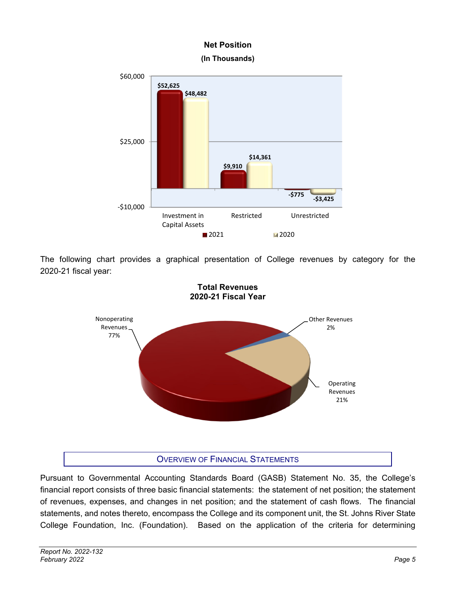**Net Position (In Thousands)** 



The following chart provides a graphical presentation of College revenues by category for the 2020-21 fiscal year:



# OVERVIEW OF FINANCIAL STATEMENTS

Pursuant to Governmental Accounting Standards Board (GASB) Statement No. 35, the College's financial report consists of three basic financial statements: the statement of net position; the statement of revenues, expenses, and changes in net position; and the statement of cash flows. The financial statements, and notes thereto, encompass the College and its component unit, the St. Johns River State College Foundation, Inc. (Foundation). Based on the application of the criteria for determining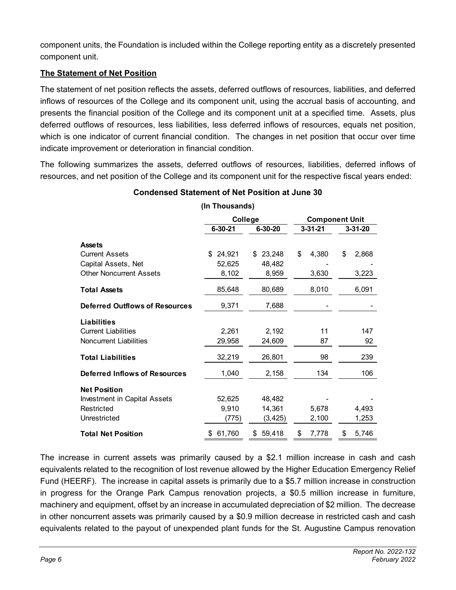component units, the Foundation is included within the College reporting entity as a discretely presented component unit.

# **The Statement of Net Position**

The statement of net position reflects the assets, deferred outflows of resources, liabilities, and deferred inflows of resources of the College and its component unit, using the accrual basis of accounting, and presents the financial position of the College and its component unit at a specified time. Assets, plus deferred outflows of resources, less liabilities, less deferred inflows of resources, equals net position, which is one indicator of current financial condition. The changes in net position that occur over time indicate improvement or deterioration in financial condition.

The following summarizes the assets, deferred outflows of resources, liabilities, deferred inflows of resources, and net position of the College and its component unit for the respective fiscal years ended:

|                                       | College      |              |               | <b>Component Unit</b> |  |
|---------------------------------------|--------------|--------------|---------------|-----------------------|--|
|                                       | 6-30-21      | 6-30-20      | $3 - 31 - 21$ | $3 - 31 - 20$         |  |
| <b>Assets</b>                         |              |              |               |                       |  |
| <b>Current Assets</b>                 | \$<br>24,921 | \$23,248     | 4,380<br>\$   | \$<br>2,868           |  |
| Capital Assets, Net                   | 52,625       | 48,482       |               |                       |  |
| <b>Other Noncurrent Assets</b>        | 8,102        | 8,959        | 3,630         | 3,223                 |  |
| <b>Total Assets</b>                   | 85,648       | 80,689       | 8,010         | 6,091                 |  |
| <b>Deferred Outflows of Resources</b> | 9,371        | 7,688        |               |                       |  |
| Liabilities                           |              |              |               |                       |  |
| <b>Current Liabilities</b>            | 2,261        | 2,192        | 11            | 147                   |  |
| <b>Noncurrent Liabilities</b>         | 29,958       | 24,609       | 87            | 92                    |  |
| <b>Total Liabilities</b>              | 32,219       | 26,801       | 98            | 239                   |  |
| Deferred Inflows of Resources         | 1,040        | 2,158        | 134           | 106                   |  |
| <b>Net Position</b>                   |              |              |               |                       |  |
| Investment in Capital Assets          | 52,625       | 48,482       |               |                       |  |
| Restricted                            | 9,910        | 14,361       | 5,678         | 4,493                 |  |
| Unrestricted                          | (775)        | (3, 425)     | 2,100         | 1,253                 |  |
| <b>Total Net Position</b>             | 61,760<br>\$ | 59,418<br>\$ | 7,778<br>\$   | \$<br>5,746           |  |

**Condensed Statement of Net Position at June 30** 

**(In Thousands)** 

The increase in current assets was primarily caused by a \$2.1 million increase in cash and cash equivalents related to the recognition of lost revenue allowed by the Higher Education Emergency Relief Fund (HEERF). The increase in capital assets is primarily due to a \$5.7 million increase in construction in progress for the Orange Park Campus renovation projects, a \$0.5 million increase in furniture, machinery and equipment, offset by an increase in accumulated depreciation of \$2 million. The decrease in other noncurrent assets was primarily caused by a \$0.9 million decrease in restricted cash and cash equivalents related to the payout of unexpended plant funds for the St. Augustine Campus renovation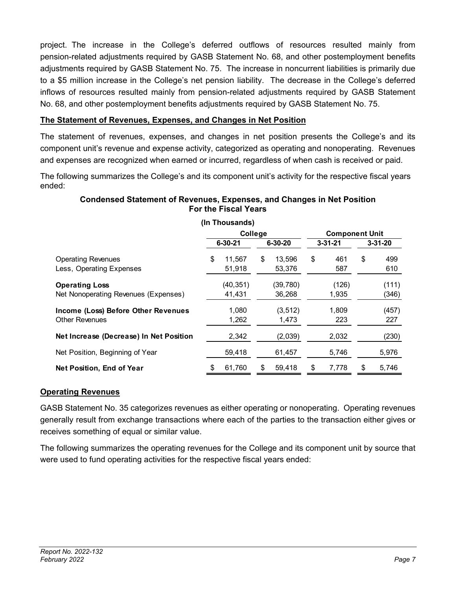project. The increase in the College's deferred outflows of resources resulted mainly from pension-related adjustments required by GASB Statement No. 68, and other postemployment benefits adjustments required by GASB Statement No. 75. The increase in noncurrent liabilities is primarily due to a \$5 million increase in the College's net pension liability. The decrease in the College's deferred inflows of resources resulted mainly from pension-related adjustments required by GASB Statement No. 68, and other postemployment benefits adjustments required by GASB Statement No. 75.

### **The Statement of Revenues, Expenses, and Changes in Net Position**

The statement of revenues, expenses, and changes in net position presents the College's and its component unit's revenue and expense activity, categorized as operating and nonoperating. Revenues and expenses are recognized when earned or incurred, regardless of when cash is received or paid.

The following summarizes the College's and its component unit's activity for the respective fiscal years ended:

#### **Condensed Statement of Revenues, Expenses, and Changes in Net Position For the Fiscal Years**

|                                         | College       |               | <b>Component Unit</b> |               |
|-----------------------------------------|---------------|---------------|-----------------------|---------------|
|                                         | $6 - 30 - 21$ | $6 - 30 - 20$ | $3 - 31 - 21$         | $3 - 31 - 20$ |
| <b>Operating Revenues</b>               | \$<br>11.567  | \$<br>13.596  | \$<br>461             | \$<br>499     |
| Less, Operating Expenses                | 51,918        | 53,376        | 587                   | 610           |
| <b>Operating Loss</b>                   | (40, 351)     | (39, 780)     | (126)                 | (111)         |
| Net Nonoperating Revenues (Expenses)    | 41,431        | 36,268        | 1,935                 | (346)         |
| Income (Loss) Before Other Revenues     | 1,080         | (3, 512)      | 1,809                 | (457)         |
| <b>Other Revenues</b>                   | 1,262         | 1,473         | 223                   | 227           |
| Net Increase (Decrease) In Net Position | 2,342         | (2,039)       | 2,032                 | (230)         |
| Net Position, Beginning of Year         | 59,418        | 61,457        | 5,746                 | 5,976         |
| <b>Net Position, End of Year</b>        | \$<br>61.760  | \$<br>59.418  | \$<br>7,778           | \$<br>5,746   |

**(In Thousands)** 

#### **Operating Revenues**

GASB Statement No. 35 categorizes revenues as either operating or nonoperating. Operating revenues generally result from exchange transactions where each of the parties to the transaction either gives or receives something of equal or similar value.

The following summarizes the operating revenues for the College and its component unit by source that were used to fund operating activities for the respective fiscal years ended: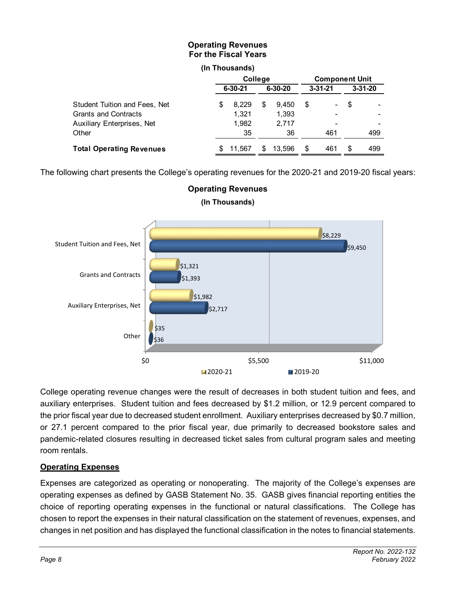## **Operating Revenues For the Fiscal Years**

|                                   | College       |     |         |     | <b>Component Unit</b> |               |
|-----------------------------------|---------------|-----|---------|-----|-----------------------|---------------|
|                                   | $6 - 30 - 21$ |     | 6-30-20 |     | $3 - 31 - 21$         | $3 - 31 - 20$ |
| Student Tuition and Fees, Net     | \$<br>8.229   | \$  | 9.450   | \$. |                       | \$            |
| <b>Grants and Contracts</b>       | 1.321         |     | 1,393   |     |                       |               |
| <b>Auxiliary Enterprises, Net</b> | 1.982         |     | 2.717   |     |                       |               |
| Other                             | 35            |     | 36      |     | 461                   | 499           |
| <b>Total Operating Revenues</b>   | 11.567        | \$. | 13,596  | \$  | 461                   | 499           |
|                                   |               |     |         |     |                       |               |

#### **(In Thousands)**

The following chart presents the College's operating revenues for the 2020-21 and 2019-20 fiscal years:



# **Operating Revenues**

**(In Thousands)** 

College operating revenue changes were the result of decreases in both student tuition and fees, and auxiliary enterprises. Student tuition and fees decreased by \$1.2 million, or 12.9 percent compared to the prior fiscal year due to decreased student enrollment. Auxiliary enterprises decreased by \$0.7 million, or 27.1 percent compared to the prior fiscal year, due primarily to decreased bookstore sales and pandemic-related closures resulting in decreased ticket sales from cultural program sales and meeting room rentals.

# **Operating Expenses**

Expenses are categorized as operating or nonoperating. The majority of the College's expenses are operating expenses as defined by GASB Statement No. 35. GASB gives financial reporting entities the choice of reporting operating expenses in the functional or natural classifications. The College has chosen to report the expenses in their natural classification on the statement of revenues, expenses, and changes in net position and has displayed the functional classification in the notes to financial statements.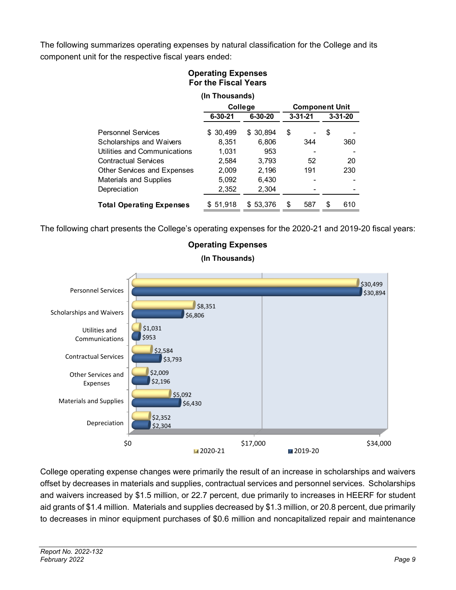The following summarizes operating expenses by natural classification for the College and its component unit for the respective fiscal years ended:

#### **Operating Expenses For the Fiscal Years (In Thousands)**

| (in Thousands)                  |               |               |    |               |                       |               |
|---------------------------------|---------------|---------------|----|---------------|-----------------------|---------------|
|                                 |               | College       |    |               | <b>Component Unit</b> |               |
|                                 | $6 - 30 - 21$ | $6 - 30 - 20$ |    | $3 - 31 - 21$ |                       | $3 - 31 - 20$ |
| Personnel Services              | \$30,499      | \$30,894      | \$ |               | \$                    |               |
| Scholarships and Waivers        | 8,351         | 6,806         |    | 344           |                       | 360           |
| Utilities and Communications    | 1,031         | 953           |    |               |                       |               |
| <b>Contractual Services</b>     | 2,584         | 3.793         |    | 52            |                       | 20            |
| Other Services and Expenses     | 2,009         | 2,196         |    | 191           |                       | 230           |
| <b>Materials and Supplies</b>   | 5,092         | 6,430         |    |               |                       |               |
| Depreciation                    | 2,352         | 2,304         |    |               |                       |               |
| <b>Total Operating Expenses</b> | \$51,918      | \$53,376      | \$ | 587           | S                     | 610           |
|                                 |               |               |    |               |                       |               |

The following chart presents the College's operating expenses for the 2020-21 and 2019-20 fiscal years:



# **Operating Expenses**

**(In Thousands)** 

College operating expense changes were primarily the result of an increase in scholarships and waivers offset by decreases in materials and supplies, contractual services and personnel services. Scholarships and waivers increased by \$1.5 million, or 22.7 percent, due primarily to increases in HEERF for student aid grants of \$1.4 million. Materials and supplies decreased by \$1.3 million, or 20.8 percent, due primarily to decreases in minor equipment purchases of \$0.6 million and noncapitalized repair and maintenance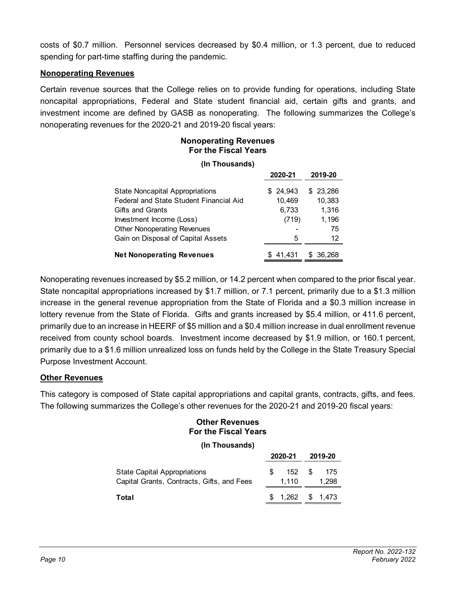costs of \$0.7 million. Personnel services decreased by \$0.4 million, or 1.3 percent, due to reduced spending for part-time staffing during the pandemic.

#### **Nonoperating Revenues**

Certain revenue sources that the College relies on to provide funding for operations, including State noncapital appropriations, Federal and State student financial aid, certain gifts and grants, and investment income are defined by GASB as nonoperating. The following summarizes the College's nonoperating revenues for the 2020-21 and 2019-20 fiscal years:

#### **Nonoperating Revenues For the Fiscal Years**

# **(In Thousands)**

|                                                                                                       | 2020-21                     | 2019-20                     |
|-------------------------------------------------------------------------------------------------------|-----------------------------|-----------------------------|
| <b>State Noncapital Appropriations</b><br>Federal and State Student Financial Aid<br>Gifts and Grants | \$24,943<br>10,469<br>6,733 | \$23,286<br>10,383<br>1,316 |
| Investment Income (Loss)                                                                              | (719)                       | 1,196                       |
| <b>Other Nonoperating Revenues</b>                                                                    |                             | 75                          |
| Gain on Disposal of Capital Assets                                                                    | 5                           | 12                          |
| <b>Net Nonoperating Revenues</b>                                                                      | \$41.431                    | 36.268<br>S                 |

Nonoperating revenues increased by \$5.2 million, or 14.2 percent when compared to the prior fiscal year. State noncapital appropriations increased by \$1.7 million, or 7.1 percent, primarily due to a \$1.3 million increase in the general revenue appropriation from the State of Florida and a \$0.3 million increase in lottery revenue from the State of Florida. Gifts and grants increased by \$5.4 million, or 411.6 percent, primarily due to an increase in HEERF of \$5 million and a \$0.4 million increase in dual enrollment revenue received from county school boards. Investment income decreased by \$1.9 million, or 160.1 percent, primarily due to a \$1.6 million unrealized loss on funds held by the College in the State Treasury Special Purpose Investment Account.

#### **Other Revenues**

This category is composed of State capital appropriations and capital grants, contracts, gifts, and fees. The following summarizes the College's other revenues for the 2020-21 and 2019-20 fiscal years:

# **Other Revenues For the Fiscal Years**

#### **(In Thousands)**

|                                                                                   |     | 2020-21                   | 2019-20 |              |  |
|-----------------------------------------------------------------------------------|-----|---------------------------|---------|--------------|--|
| <b>State Capital Appropriations</b><br>Capital Grants, Contracts, Gifts, and Fees | SS. | 152 <sub>5</sub><br>1.110 |         | 175<br>1.298 |  |
| Total                                                                             |     | $$1,262$ $$1,473$         |         |              |  |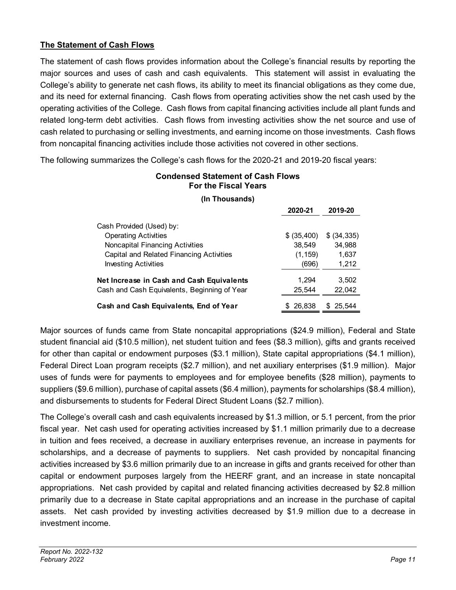# **The Statement of Cash Flows**

The statement of cash flows provides information about the College's financial results by reporting the major sources and uses of cash and cash equivalents. This statement will assist in evaluating the College's ability to generate net cash flows, its ability to meet its financial obligations as they come due, and its need for external financing. Cash flows from operating activities show the net cash used by the operating activities of the College. Cash flows from capital financing activities include all plant funds and related long-term debt activities. Cash flows from investing activities show the net source and use of cash related to purchasing or selling investments, and earning income on those investments. Cash flows from noncapital financing activities include those activities not covered in other sections.

The following summarizes the College's cash flows for the 2020-21 and 2019-20 fiscal years:

|                                              | 2020-21      | 2019-20      |
|----------------------------------------------|--------------|--------------|
| Cash Provided (Used) by:                     |              |              |
| <b>Operating Activities</b>                  | \$ (35,400)  | \$ (34, 335) |
| Noncapital Financing Activities              | 38,549       | 34,988       |
| Capital and Related Financing Activities     | (1, 159)     | 1,637        |
| <b>Investing Activities</b>                  | (696)        | 1,212        |
| Net Increase in Cash and Cash Equivalents    | 1.294        | 3.502        |
| Cash and Cash Equivalents, Beginning of Year | 25,544       | 22,042       |
| Cash and Cash Equivalents, End of Year       | 26.838<br>S. | 25,544<br>\$ |

# **Condensed Statement of Cash Flows For the Fiscal Years**

**(In Thousands)** 

Major sources of funds came from State noncapital appropriations (\$24.9 million), Federal and State student financial aid (\$10.5 million), net student tuition and fees (\$8.3 million), gifts and grants received for other than capital or endowment purposes (\$3.1 million), State capital appropriations (\$4.1 million), Federal Direct Loan program receipts (\$2.7 million), and net auxiliary enterprises (\$1.9 million). Major uses of funds were for payments to employees and for employee benefits (\$28 million), payments to suppliers (\$9.6 million), purchase of capital assets (\$6.4 million), payments for scholarships (\$8.4 million), and disbursements to students for Federal Direct Student Loans (\$2.7 million).

The College's overall cash and cash equivalents increased by \$1.3 million, or 5.1 percent, from the prior fiscal year. Net cash used for operating activities increased by \$1.1 million primarily due to a decrease in tuition and fees received, a decrease in auxiliary enterprises revenue, an increase in payments for scholarships, and a decrease of payments to suppliers. Net cash provided by noncapital financing activities increased by \$3.6 million primarily due to an increase in gifts and grants received for other than capital or endowment purposes largely from the HEERF grant, and an increase in state noncapital appropriations. Net cash provided by capital and related financing activities decreased by \$2.8 million primarily due to a decrease in State capital appropriations and an increase in the purchase of capital assets. Net cash provided by investing activities decreased by \$1.9 million due to a decrease in investment income.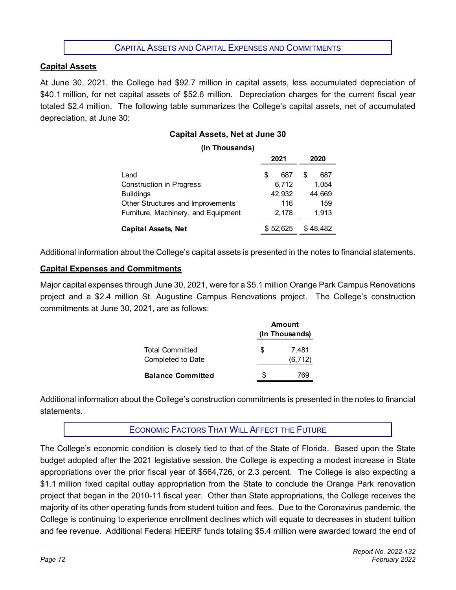#### CAPITAL ASSETS AND CAPITAL EXPENSES AND COMMITMENTS

## **Capital Assets**

At June 30, 2021, the College had \$92.7 million in capital assets, less accumulated depreciation of \$40.1 million, for net capital assets of \$52.6 million. Depreciation charges for the current fiscal year totaled \$2.4 million. The following table summarizes the College's capital assets, net of accumulated depreciation, at June 30:

#### **Capital Assets, Net at June 30**

#### **(In Thousands)**

|                                     | 2021      | 2020 |          |  |
|-------------------------------------|-----------|------|----------|--|
| Land                                | \$<br>687 | S    | 687      |  |
| <b>Construction in Progress</b>     | 6,712     |      | 1,054    |  |
| <b>Buildings</b>                    | 42,932    |      | 44,669   |  |
| Other Structures and Improvements   | 116       |      | 159      |  |
| Furniture, Machinery, and Equipment | 2,178     |      | 1,913    |  |
| <b>Capital Assets, Net</b>          | \$52,625  |      | \$48,482 |  |

Additional information about the College's capital assets is presented in the notes to financial statements.

### **Capital Expenses and Commitments**

Major capital expenses through June 30, 2021, were for a \$5.1 million Orange Park Campus Renovations project and a \$2.4 million St. Augustine Campus Renovations project. The College's construction commitments at June 30, 2021, are as follows:

|                                             |    | Amount<br>(In Thousands) |
|---------------------------------------------|----|--------------------------|
| <b>Total Committed</b><br>Completed to Date | S  | 7,481<br>(6, 712)        |
| <b>Balance Committed</b>                    | \$ |                          |

Additional information about the College's construction commitments is presented in the notes to financial statements.

# ECONOMIC FACTORS THAT WILL AFFECT THE FUTURE

The College's economic condition is closely tied to that of the State of Florida. Based upon the State budget adopted after the 2021 legislative session, the College is expecting a modest increase in State appropriations over the prior fiscal year of \$564,726, or 2.3 percent. The College is also expecting a \$1.1 million fixed capital outlay appropriation from the State to conclude the Orange Park renovation project that began in the 2010-11 fiscal year. Other than State appropriations, the College receives the majority of its other operating funds from student tuition and fees. Due to the Coronavirus pandemic, the College is continuing to experience enrollment declines which will equate to decreases in student tuition and fee revenue. Additional Federal HEERF funds totaling \$5.4 million were awarded toward the end of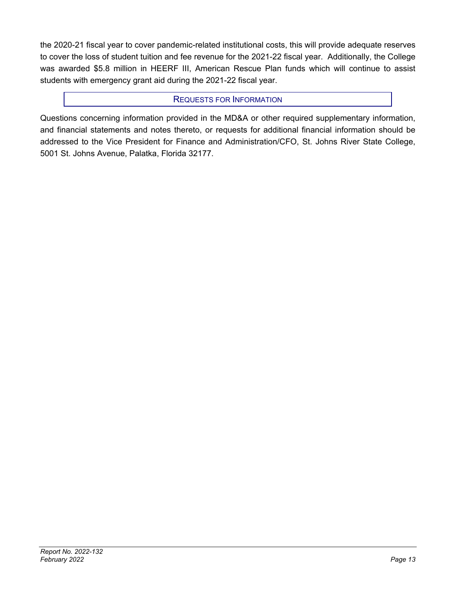the 2020-21 fiscal year to cover pandemic-related institutional costs, this will provide adequate reserves to cover the loss of student tuition and fee revenue for the 2021-22 fiscal year. Additionally, the College was awarded \$5.8 million in HEERF III, American Rescue Plan funds which will continue to assist students with emergency grant aid during the 2021-22 fiscal year.

# REQUESTS FOR INFORMATION

Questions concerning information provided in the MD&A or other required supplementary information, and financial statements and notes thereto, or requests for additional financial information should be addressed to the Vice President for Finance and Administration/CFO, St. Johns River State College, 5001 St. Johns Avenue, Palatka, Florida 32177.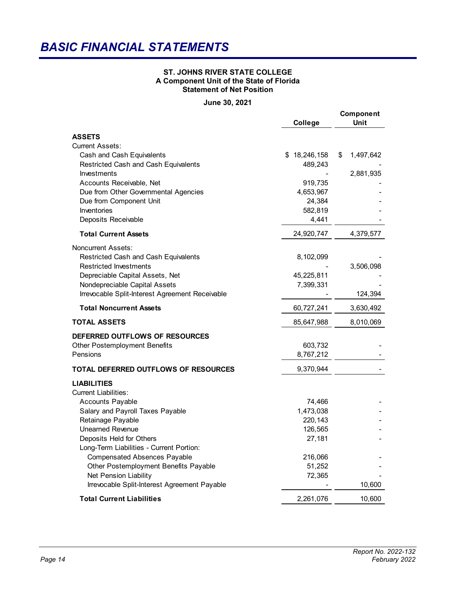# <span id="page-17-0"></span>*BASIC FINANCIAL STATEMENTS*

#### **ST. JOHNS RIVER STATE COLLEGE A Component Unit of the State of Florida Statement of Net Position**

**June 30, 2021** 

|                                                   | College      | Component<br>Unit |
|---------------------------------------------------|--------------|-------------------|
| <b>ASSETS</b>                                     |              |                   |
| <b>Current Assets:</b>                            |              |                   |
| Cash and Cash Equivalents                         | \$18,246,158 | \$<br>1,497,642   |
| Restricted Cash and Cash Equivalents              | 489,243      |                   |
| Investments                                       |              | 2,881,935         |
| Accounts Receivable, Net                          | 919,735      |                   |
| Due from Other Governmental Agencies              | 4,653,967    |                   |
| Due from Component Unit                           | 24,384       |                   |
| Inventories                                       | 582,819      |                   |
| Deposits Receivable                               | 4,441        |                   |
| <b>Total Current Assets</b>                       | 24,920,747   | 4,379,577         |
| <b>Noncurrent Assets:</b>                         |              |                   |
| Restricted Cash and Cash Equivalents              | 8,102,099    |                   |
| <b>Restricted Investments</b>                     |              | 3,506,098         |
| Depreciable Capital Assets, Net                   | 45,225,811   |                   |
| Nondepreciable Capital Assets                     | 7,399,331    |                   |
| Irrevocable Split-Interest Agreement Receivable   |              | 124,394           |
| <b>Total Noncurrent Assets</b>                    | 60,727,241   | 3,630,492         |
| <b>TOTAL ASSETS</b>                               | 85,647,988   | 8,010,069         |
| DEFERRED OUTFLOWS OF RESOURCES                    |              |                   |
| <b>Other Postemployment Benefits</b>              | 603,732      |                   |
| Pensions                                          | 8,767,212    |                   |
| <b>TOTAL DEFERRED OUTFLOWS OF RESOURCES</b>       | 9,370,944    |                   |
|                                                   |              |                   |
| <b>LIABILITIES</b><br><b>Current Liabilities:</b> |              |                   |
| <b>Accounts Payable</b>                           | 74,466       |                   |
| Salary and Payroll Taxes Payable                  | 1,473,038    |                   |
| Retainage Payable                                 | 220,143      |                   |
| <b>Unearned Revenue</b>                           | 126,565      |                   |
| Deposits Held for Others                          | 27,181       |                   |
| Long-Term Liabilities - Current Portion:          |              |                   |
| <b>Compensated Absences Payable</b>               | 216,066      |                   |
| Other Postemployment Benefits Payable             | 51,252       |                   |
| Net Pension Liability                             | 72,365       |                   |
| Irrevocable Split-Interest Agreement Payable      |              | 10,600            |
|                                                   |              |                   |
| <b>Total Current Liabilities</b>                  | 2,261,076    | 10,600            |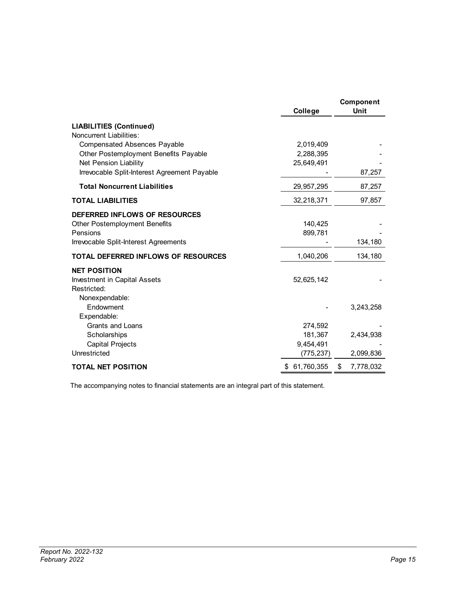|                                                                                                                            | College                              | Component<br>Unit |
|----------------------------------------------------------------------------------------------------------------------------|--------------------------------------|-------------------|
| <b>LIABILITIES (Continued)</b><br>Noncurrent Liabilities:                                                                  |                                      |                   |
| <b>Compensated Absences Payable</b><br>Other Postemployment Benefits Payable<br>Net Pension Liability                      | 2,019,409<br>2,288,395<br>25,649,491 |                   |
| Irrevocable Split-Interest Agreement Payable                                                                               |                                      | 87,257            |
| <b>Total Noncurrent Liabilities</b>                                                                                        | 29,957,295                           | 87,257            |
| <b>TOTAL LIABILITIES</b>                                                                                                   | 32,218,371                           | 97,857            |
| DEFERRED INFLOWS OF RESOURCES<br><b>Other Postemployment Benefits</b><br>Pensions<br>Irrevocable Split-Interest Agreements | 140,425<br>899,781                   | 134,180           |
| TOTAL DEFERRED INFLOWS OF RESOURCES                                                                                        | 1,040,206                            | 134,180           |
| <b>NET POSITION</b><br><b>Investment in Capital Assets</b><br>Restricted:<br>Nonexpendable:                                | 52,625,142                           |                   |
| Endowment<br>Expendable:                                                                                                   |                                      | 3,243,258         |
| <b>Grants and Loans</b><br>Scholarships<br><b>Capital Projects</b>                                                         | 274,592<br>181,367<br>9,454,491      | 2,434,938         |
| Unrestricted                                                                                                               | (775, 237)                           | 2,099,836         |
| <b>TOTAL NET POSITION</b>                                                                                                  | \$ 61,760,355                        | \$<br>7,778,032   |

The accompanying notes to financial statements are an integral part of this statement.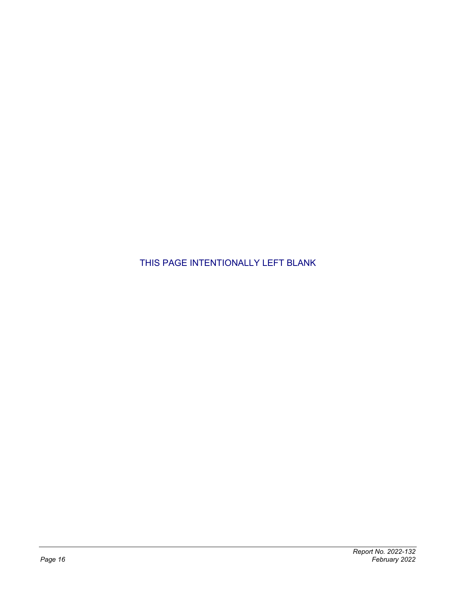THIS PAGE INTENTIONALLY LEFT BLANK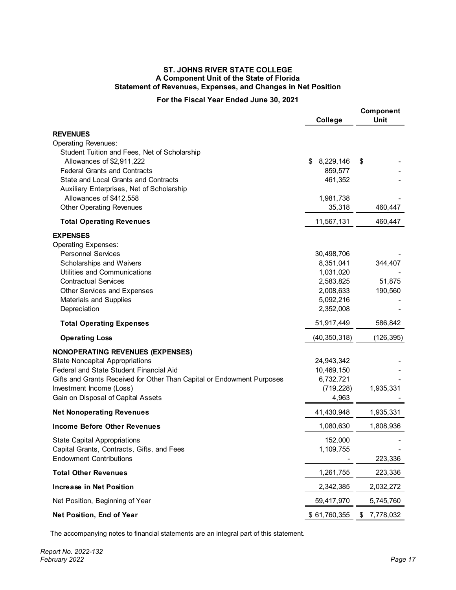#### **ST. JOHNS RIVER STATE COLLEGE A Component Unit of the State of Florida Statement of Revenues, Expenses, and Changes in Net Position**

#### **For the Fiscal Year Ended June 30, 2021**

<span id="page-20-0"></span>

|                                                                        | College        | Component<br><b>Unit</b> |
|------------------------------------------------------------------------|----------------|--------------------------|
| <b>REVENUES</b>                                                        |                |                          |
| <b>Operating Revenues:</b>                                             |                |                          |
| Student Tuition and Fees, Net of Scholarship                           |                |                          |
| Allowances of \$2,911,222                                              | 8,229,146<br>S | \$                       |
| <b>Federal Grants and Contracts</b>                                    | 859,577        |                          |
| State and Local Grants and Contracts                                   | 461,352        |                          |
| Auxiliary Enterprises, Net of Scholarship                              |                |                          |
| Allowances of \$412,558                                                | 1,981,738      |                          |
| <b>Other Operating Revenues</b>                                        | 35,318         | 460,447                  |
| <b>Total Operating Revenues</b>                                        | 11,567,131     | 460,447                  |
| <b>EXPENSES</b>                                                        |                |                          |
| <b>Operating Expenses:</b>                                             |                |                          |
| <b>Personnel Services</b>                                              | 30,498,706     |                          |
| Scholarships and Waivers                                               | 8,351,041      | 344,407                  |
| Utilities and Communications                                           | 1,031,020      |                          |
| <b>Contractual Services</b>                                            | 2,583,825      | 51,875                   |
| <b>Other Services and Expenses</b>                                     | 2,008,633      | 190,560                  |
| <b>Materials and Supplies</b>                                          | 5,092,216      |                          |
| Depreciation                                                           | 2,352,008      |                          |
| <b>Total Operating Expenses</b>                                        | 51,917,449     | 586,842                  |
| <b>Operating Loss</b>                                                  | (40, 350, 318) | (126, 395)               |
| <b>NONOPERATING REVENUES (EXPENSES)</b>                                |                |                          |
| <b>State Noncapital Appropriations</b>                                 | 24,943,342     |                          |
| Federal and State Student Financial Aid                                | 10,469,150     |                          |
| Gifts and Grants Received for Other Than Capital or Endowment Purposes | 6,732,721      |                          |
| Investment Income (Loss)                                               | (719, 228)     | 1,935,331                |
| Gain on Disposal of Capital Assets                                     | 4,963          |                          |
| <b>Net Nonoperating Revenues</b>                                       | 41,430,948     | 1,935,331                |
| <b>Income Before Other Revenues</b>                                    | 1,080,630      | 1,808,936                |
| <b>State Capital Appropriations</b>                                    | 152,000        |                          |
| Capital Grants, Contracts, Gifts, and Fees                             | 1,109,755      |                          |
| <b>Endowment Contributions</b>                                         |                | 223,336                  |
| <b>Total Other Revenues</b>                                            | 1,261,755      | 223,336                  |
| <b>Increase in Net Position</b>                                        | 2,342,385      | 2,032,272                |
| Net Position, Beginning of Year                                        | 59,417,970     | 5,745,760                |
| Net Position, End of Year                                              | \$61,760,355   | \$<br>7,778,032          |

The accompanying notes to financial statements are an integral part of this statement.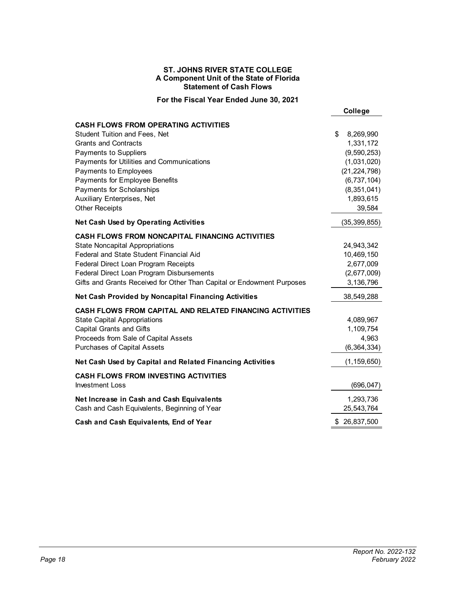#### **ST. JOHNS RIVER STATE COLLEGE A Component Unit of the State of Florida Statement of Cash Flows**

**For the Fiscal Year Ended June 30, 2021** 

<span id="page-21-0"></span>

|                                                                        | College         |
|------------------------------------------------------------------------|-----------------|
| <b>CASH FLOWS FROM OPERATING ACTIVITIES</b>                            |                 |
| Student Tuition and Fees, Net                                          | 8,269,990<br>\$ |
| <b>Grants and Contracts</b>                                            | 1,331,172       |
| Payments to Suppliers                                                  | (9,590,253)     |
| Payments for Utilities and Communications                              | (1,031,020)     |
| Payments to Employees                                                  | (21, 224, 798)  |
| Payments for Employee Benefits                                         | (6,737,104)     |
| Payments for Scholarships                                              | (8, 351, 041)   |
| Auxiliary Enterprises, Net                                             | 1,893,615       |
| <b>Other Receipts</b>                                                  | 39,584          |
| <b>Net Cash Used by Operating Activities</b>                           | (35, 399, 855)  |
| <b>CASH FLOWS FROM NONCAPITAL FINANCING ACTIVITIES</b>                 |                 |
| <b>State Noncapital Appropriations</b>                                 | 24,943,342      |
| <b>Federal and State Student Financial Aid</b>                         | 10,469,150      |
| Federal Direct Loan Program Receipts                                   | 2,677,009       |
| Federal Direct Loan Program Disbursements                              | (2,677,009)     |
| Gifts and Grants Received for Other Than Capital or Endowment Purposes | 3,136,796       |
| Net Cash Provided by Noncapital Financing Activities                   | 38,549,288      |
| <b>CASH FLOWS FROM CAPITAL AND RELATED FINANCING ACTIVITIES</b>        |                 |
| <b>State Capital Appropriations</b>                                    | 4,089,967       |
| <b>Capital Grants and Gifts</b>                                        | 1,109,754       |
| Proceeds from Sale of Capital Assets                                   | 4,963           |
| Purchases of Capital Assets                                            | (6, 364, 334)   |
| Net Cash Used by Capital and Related Financing Activities              | (1, 159, 650)   |
| <b>CASH FLOWS FROM INVESTING ACTIVITIES</b>                            |                 |
| <b>Investment Loss</b>                                                 | (696, 047)      |
| Net Increase in Cash and Cash Equivalents                              | 1,293,736       |
| Cash and Cash Equivalents, Beginning of Year                           | 25,543,764      |
| Cash and Cash Equivalents, End of Year                                 | \$ 26,837,500   |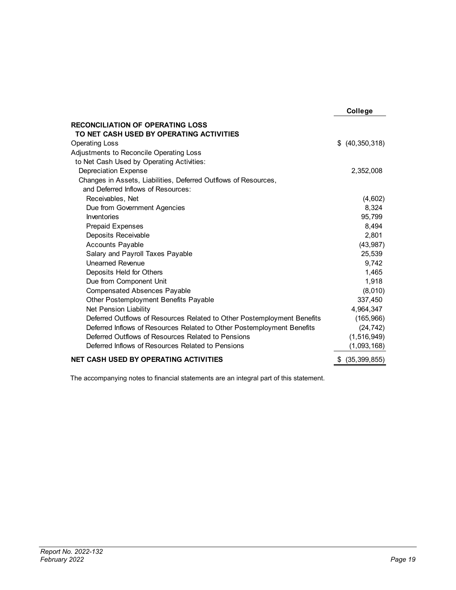|                                                                         | College          |
|-------------------------------------------------------------------------|------------------|
| <b>RECONCILIATION OF OPERATING LOSS</b>                                 |                  |
| TO NET CASH USED BY OPERATING ACTIVITIES                                |                  |
| <b>Operating Loss</b>                                                   | \$ (40,350,318)  |
| Adjustments to Reconcile Operating Loss                                 |                  |
| to Net Cash Used by Operating Activities:                               |                  |
| <b>Depreciation Expense</b>                                             | 2,352,008        |
| Changes in Assets, Liabilities, Deferred Outflows of Resources,         |                  |
| and Deferred Inflows of Resources:                                      |                  |
| Receivables, Net                                                        | (4,602)          |
| Due from Government Agencies                                            | 8,324            |
| Inventories                                                             | 95.799           |
| <b>Prepaid Expenses</b>                                                 | 8.494            |
| Deposits Receivable                                                     | 2,801            |
| <b>Accounts Payable</b>                                                 | (43, 987)        |
| Salary and Payroll Taxes Payable                                        | 25.539           |
| Unearned Revenue                                                        | 9,742            |
| Deposits Held for Others                                                | 1,465            |
| Due from Component Unit                                                 | 1,918            |
| <b>Compensated Absences Payable</b>                                     | (8,010)          |
| Other Postemployment Benefits Payable                                   | 337,450          |
| Net Pension Liability                                                   | 4,964,347        |
| Deferred Outflows of Resources Related to Other Postemployment Benefits | (165,966)        |
| Deferred Inflows of Resources Related to Other Postemployment Benefits  | (24, 742)        |
| Deferred Outflows of Resources Related to Pensions                      | (1,516,949)      |
| Deferred Inflows of Resources Related to Pensions                       | (1,093,168)      |
| <b>NET CASH USED BY OPERATING ACTIVITIES</b>                            | $$$ (35,399,855) |

The accompanying notes to financial statements are an integral part of this statement.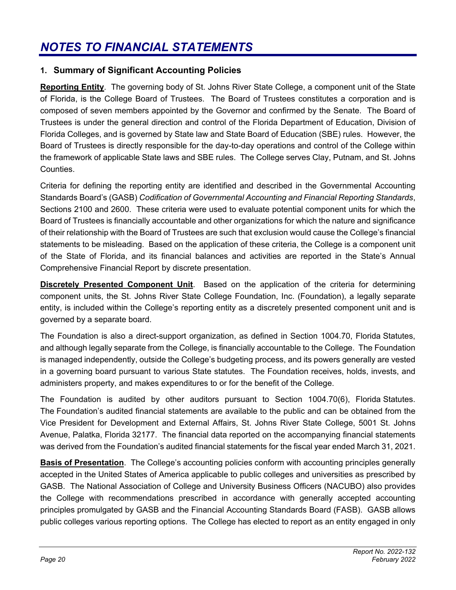# <span id="page-23-0"></span>*NOTES TO FINANCIAL STATEMENTS*

# **1. Summary of Significant Accounting Policies**

**Reporting Entity**. The governing body of St. Johns River State College, a component unit of the State of Florida, is the College Board of Trustees. The Board of Trustees constitutes a corporation and is composed of seven members appointed by the Governor and confirmed by the Senate. The Board of Trustees is under the general direction and control of the Florida Department of Education, Division of Florida Colleges, and is governed by State law and State Board of Education (SBE) rules. However, the Board of Trustees is directly responsible for the day-to-day operations and control of the College within the framework of applicable State laws and SBE rules. The College serves Clay, Putnam, and St. Johns Counties.

Criteria for defining the reporting entity are identified and described in the Governmental Accounting Standards Board's (GASB) *Codification of Governmental Accounting and Financial Reporting Standards*, Sections 2100 and 2600. These criteria were used to evaluate potential component units for which the Board of Trustees is financially accountable and other organizations for which the nature and significance of their relationship with the Board of Trustees are such that exclusion would cause the College's financial statements to be misleading. Based on the application of these criteria, the College is a component unit of the State of Florida, and its financial balances and activities are reported in the State's Annual Comprehensive Financial Report by discrete presentation.

**Discretely Presented Component Unit**. Based on the application of the criteria for determining component units, the St. Johns River State College Foundation, Inc. (Foundation), a legally separate entity, is included within the College's reporting entity as a discretely presented component unit and is governed by a separate board.

The Foundation is also a direct-support organization, as defined in Section 1004.70, Florida Statutes, and although legally separate from the College, is financially accountable to the College. The Foundation is managed independently, outside the College's budgeting process, and its powers generally are vested in a governing board pursuant to various State statutes. The Foundation receives, holds, invests, and administers property, and makes expenditures to or for the benefit of the College.

The Foundation is audited by other auditors pursuant to Section 1004.70(6), Florida Statutes. The Foundation's audited financial statements are available to the public and can be obtained from the Vice President for Development and External Affairs, St. Johns River State College, 5001 St. Johns Avenue, Palatka, Florida 32177. The financial data reported on the accompanying financial statements was derived from the Foundation's audited financial statements for the fiscal year ended March 31, 2021.

**Basis of Presentation**. The College's accounting policies conform with accounting principles generally accepted in the United States of America applicable to public colleges and universities as prescribed by GASB. The National Association of College and University Business Officers (NACUBO) also provides the College with recommendations prescribed in accordance with generally accepted accounting principles promulgated by GASB and the Financial Accounting Standards Board (FASB). GASB allows public colleges various reporting options. The College has elected to report as an entity engaged in only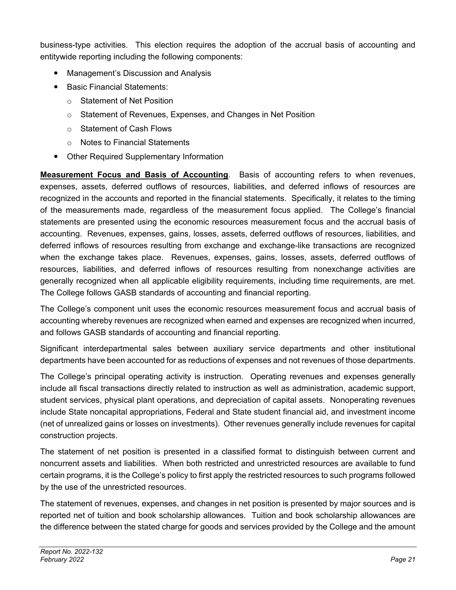business-type activities. This election requires the adoption of the accrual basis of accounting and entitywide reporting including the following components:

- Management's Discussion and Analysis
- Basic Financial Statements:
	- o Statement of Net Position
	- o Statement of Revenues, Expenses, and Changes in Net Position
	- o Statement of Cash Flows
	- o Notes to Financial Statements
- Other Required Supplementary Information

**Measurement Focus and Basis of Accounting**. Basis of accounting refers to when revenues, expenses, assets, deferred outflows of resources, liabilities, and deferred inflows of resources are recognized in the accounts and reported in the financial statements. Specifically, it relates to the timing of the measurements made, regardless of the measurement focus applied. The College's financial statements are presented using the economic resources measurement focus and the accrual basis of accounting. Revenues, expenses, gains, losses, assets, deferred outflows of resources, liabilities, and deferred inflows of resources resulting from exchange and exchange-like transactions are recognized when the exchange takes place. Revenues, expenses, gains, losses, assets, deferred outflows of resources, liabilities, and deferred inflows of resources resulting from nonexchange activities are generally recognized when all applicable eligibility requirements, including time requirements, are met. The College follows GASB standards of accounting and financial reporting.

The College's component unit uses the economic resources measurement focus and accrual basis of accounting whereby revenues are recognized when earned and expenses are recognized when incurred, and follows GASB standards of accounting and financial reporting.

Significant interdepartmental sales between auxiliary service departments and other institutional departments have been accounted for as reductions of expenses and not revenues of those departments.

The College's principal operating activity is instruction. Operating revenues and expenses generally include all fiscal transactions directly related to instruction as well as administration, academic support, student services, physical plant operations, and depreciation of capital assets. Nonoperating revenues include State noncapital appropriations, Federal and State student financial aid, and investment income (net of unrealized gains or losses on investments). Other revenues generally include revenues for capital construction projects.

The statement of net position is presented in a classified format to distinguish between current and noncurrent assets and liabilities. When both restricted and unrestricted resources are available to fund certain programs, it is the College's policy to first apply the restricted resources to such programs followed by the use of the unrestricted resources.

The statement of revenues, expenses, and changes in net position is presented by major sources and is reported net of tuition and book scholarship allowances. Tuition and book scholarship allowances are the difference between the stated charge for goods and services provided by the College and the amount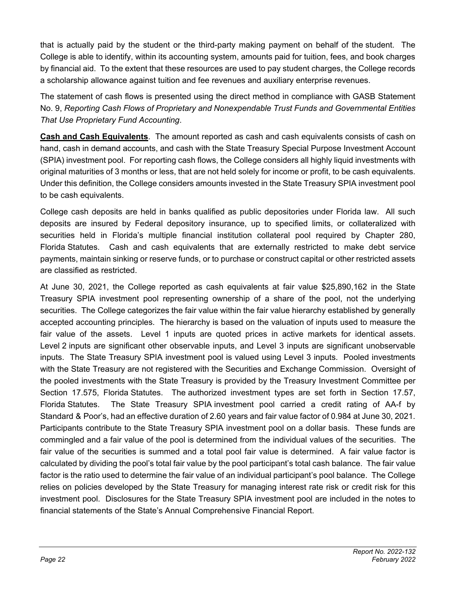that is actually paid by the student or the third-party making payment on behalf of the student. The College is able to identify, within its accounting system, amounts paid for tuition, fees, and book charges by financial aid. To the extent that these resources are used to pay student charges, the College records a scholarship allowance against tuition and fee revenues and auxiliary enterprise revenues.

The statement of cash flows is presented using the direct method in compliance with GASB Statement No. 9, *Reporting Cash Flows of Proprietary and Nonexpendable Trust Funds and Governmental Entities That Use Proprietary Fund Accounting*.

**Cash and Cash Equivalents**. The amount reported as cash and cash equivalents consists of cash on hand, cash in demand accounts, and cash with the State Treasury Special Purpose Investment Account (SPIA) investment pool. For reporting cash flows, the College considers all highly liquid investments with original maturities of 3 months or less, that are not held solely for income or profit, to be cash equivalents. Under this definition, the College considers amounts invested in the State Treasury SPIA investment pool to be cash equivalents.

College cash deposits are held in banks qualified as public depositories under Florida law. All such deposits are insured by Federal depository insurance, up to specified limits, or collateralized with securities held in Florida's multiple financial institution collateral pool required by Chapter 280, Florida Statutes. Cash and cash equivalents that are externally restricted to make debt service payments, maintain sinking or reserve funds, or to purchase or construct capital or other restricted assets are classified as restricted.

At June 30, 2021, the College reported as cash equivalents at fair value \$25,890,162 in the State Treasury SPIA investment pool representing ownership of a share of the pool, not the underlying securities. The College categorizes the fair value within the fair value hierarchy established by generally accepted accounting principles. The hierarchy is based on the valuation of inputs used to measure the fair value of the assets. Level 1 inputs are quoted prices in active markets for identical assets. Level 2 inputs are significant other observable inputs, and Level 3 inputs are significant unobservable inputs. The State Treasury SPIA investment pool is valued using Level 3 inputs. Pooled investments with the State Treasury are not registered with the Securities and Exchange Commission. Oversight of the pooled investments with the State Treasury is provided by the Treasury Investment Committee per Section 17.575, Florida Statutes. The authorized investment types are set forth in Section 17.57, Florida Statutes. The State Treasury SPIA investment pool carried a credit rating of AA-f by Standard & Poor's, had an effective duration of 2.60 years and fair value factor of 0.984 at June 30, 2021. Participants contribute to the State Treasury SPIA investment pool on a dollar basis. These funds are commingled and a fair value of the pool is determined from the individual values of the securities. The fair value of the securities is summed and a total pool fair value is determined. A fair value factor is calculated by dividing the pool's total fair value by the pool participant's total cash balance. The fair value factor is the ratio used to determine the fair value of an individual participant's pool balance. The College relies on policies developed by the State Treasury for managing interest rate risk or credit risk for this investment pool. Disclosures for the State Treasury SPIA investment pool are included in the notes to financial statements of the State's Annual Comprehensive Financial Report.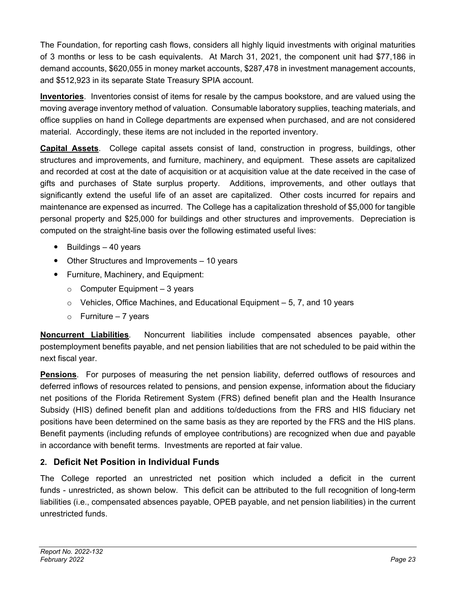The Foundation, for reporting cash flows, considers all highly liquid investments with original maturities of 3 months or less to be cash equivalents. At March 31, 2021, the component unit had \$77,186 in demand accounts, \$620,055 in money market accounts, \$287,478 in investment management accounts, and \$512,923 in its separate State Treasury SPIA account.

**Inventories**. Inventories consist of items for resale by the campus bookstore, and are valued using the moving average inventory method of valuation. Consumable laboratory supplies, teaching materials, and office supplies on hand in College departments are expensed when purchased, and are not considered material. Accordingly, these items are not included in the reported inventory.

**Capital Assets**. College capital assets consist of land, construction in progress, buildings, other structures and improvements, and furniture, machinery, and equipment. These assets are capitalized and recorded at cost at the date of acquisition or at acquisition value at the date received in the case of gifts and purchases of State surplus property. Additions, improvements, and other outlays that significantly extend the useful life of an asset are capitalized. Other costs incurred for repairs and maintenance are expensed as incurred. The College has a capitalization threshold of \$5,000 for tangible personal property and \$25,000 for buildings and other structures and improvements. Depreciation is computed on the straight-line basis over the following estimated useful lives:

- $\bullet$  Buildings 40 years
- Other Structures and Improvements 10 years
- Furniture, Machinery, and Equipment:
	- $\circ$  Computer Equipment 3 years
	- $\circ$  Vehicles, Office Machines, and Educational Equipment  $-5$ , 7, and 10 years
	- $\circ$  Furniture 7 years

**Noncurrent Liabilities**. Noncurrent liabilities include compensated absences payable, other postemployment benefits payable, and net pension liabilities that are not scheduled to be paid within the next fiscal year.

**Pensions**. For purposes of measuring the net pension liability, deferred outflows of resources and deferred inflows of resources related to pensions, and pension expense, information about the fiduciary net positions of the Florida Retirement System (FRS) defined benefit plan and the Health Insurance Subsidy (HIS) defined benefit plan and additions to/deductions from the FRS and HIS fiduciary net positions have been determined on the same basis as they are reported by the FRS and the HIS plans. Benefit payments (including refunds of employee contributions) are recognized when due and payable in accordance with benefit terms. Investments are reported at fair value.

# **2. Deficit Net Position in Individual Funds**

The College reported an unrestricted net position which included a deficit in the current funds - unrestricted, as shown below. This deficit can be attributed to the full recognition of long-term liabilities (i.e., compensated absences payable, OPEB payable, and net pension liabilities) in the current unrestricted funds.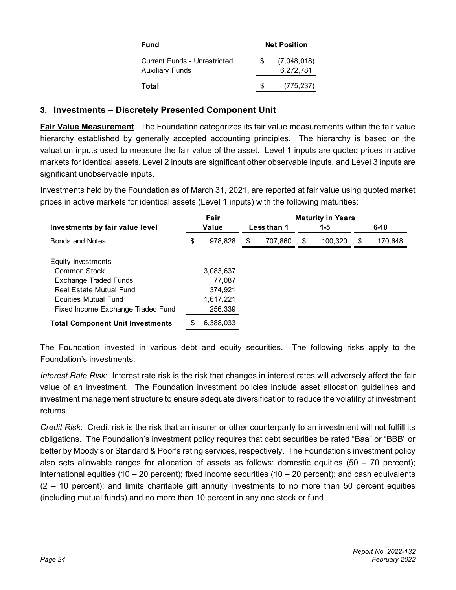| Fund                                                          |   | <b>Net Position</b>      |
|---------------------------------------------------------------|---|--------------------------|
| <b>Current Funds - Unrestricted</b><br><b>Auxiliary Funds</b> |   | (7,048,018)<br>6,272,781 |
| Total                                                         | S | (775.237)                |

# **3. Investments – Discretely Presented Component Unit**

**Fair Value Measurement**. The Foundation categorizes its fair value measurements within the fair value hierarchy established by generally accepted accounting principles. The hierarchy is based on the valuation inputs used to measure the fair value of the asset. Level 1 inputs are quoted prices in active markets for identical assets, Level 2 inputs are significant other observable inputs, and Level 3 inputs are significant unobservable inputs.

Investments held by the Foundation as of March 31, 2021, are reported at fair value using quoted market prices in active markets for identical assets (Level 1 inputs) with the following maturities:

|                                         | Fair            | <b>Maturity in Years</b> |             |   |         |   |          |
|-----------------------------------------|-----------------|--------------------------|-------------|---|---------|---|----------|
| Investments by fair value level         | Value           |                          | Less than 1 |   | 1-5     |   | $6 - 10$ |
| <b>Bonds and Notes</b>                  | \$<br>978,828   | \$                       | 707.860     | S | 100.320 | S | 170,648  |
| <b>Equity Investments</b>               |                 |                          |             |   |         |   |          |
| Common Stock                            | 3,083,637       |                          |             |   |         |   |          |
| <b>Exchange Traded Funds</b>            | 77.087          |                          |             |   |         |   |          |
| Real Estate Mutual Fund                 | 374.921         |                          |             |   |         |   |          |
| <b>Equities Mutual Fund</b>             | 1,617,221       |                          |             |   |         |   |          |
| Fixed Income Exchange Traded Fund       | 256,339         |                          |             |   |         |   |          |
| <b>Total Component Unit Investments</b> | \$<br>6,388,033 |                          |             |   |         |   |          |

The Foundation invested in various debt and equity securities. The following risks apply to the Foundation's investments:

*Interest Rate Risk*: Interest rate risk is the risk that changes in interest rates will adversely affect the fair value of an investment. The Foundation investment policies include asset allocation guidelines and investment management structure to ensure adequate diversification to reduce the volatility of investment returns.

*Credit Risk*: Credit risk is the risk that an insurer or other counterparty to an investment will not fulfill its obligations. The Foundation's investment policy requires that debt securities be rated "Baa" or "BBB" or better by Moody's or Standard & Poor's rating services, respectively. The Foundation's investment policy also sets allowable ranges for allocation of assets as follows: domestic equities  $(50 - 70$  percent); international equities (10 – 20 percent); fixed income securities (10 – 20 percent); and cash equivalents  $(2 - 10$  percent); and limits charitable gift annuity investments to no more than 50 percent equities (including mutual funds) and no more than 10 percent in any one stock or fund.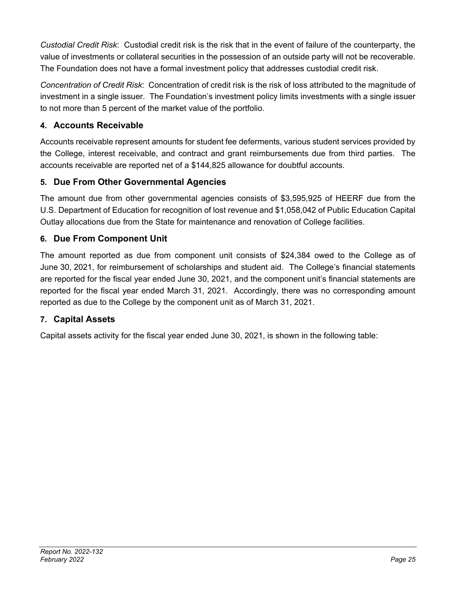*Custodial Credit Risk*: Custodial credit risk is the risk that in the event of failure of the counterparty, the value of investments or collateral securities in the possession of an outside party will not be recoverable. The Foundation does not have a formal investment policy that addresses custodial credit risk.

*Concentration of Credit Risk*: Concentration of credit risk is the risk of loss attributed to the magnitude of investment in a single issuer. The Foundation's investment policy limits investments with a single issuer to not more than 5 percent of the market value of the portfolio.

# **4. Accounts Receivable**

Accounts receivable represent amounts for student fee deferments, various student services provided by the College, interest receivable, and contract and grant reimbursements due from third parties. The accounts receivable are reported net of a \$144,825 allowance for doubtful accounts.

# **5. Due From Other Governmental Agencies**

The amount due from other governmental agencies consists of \$3,595,925 of HEERF due from the U.S. Department of Education for recognition of lost revenue and \$1,058,042 of Public Education Capital Outlay allocations due from the State for maintenance and renovation of College facilities.

# **6. Due From Component Unit**

The amount reported as due from component unit consists of \$24,384 owed to the College as of June 30, 2021, for reimbursement of scholarships and student aid. The College's financial statements are reported for the fiscal year ended June 30, 2021, and the component unit's financial statements are reported for the fiscal year ended March 31, 2021. Accordingly, there was no corresponding amount reported as due to the College by the component unit as of March 31, 2021.

# **7. Capital Assets**

Capital assets activity for the fiscal year ended June 30, 2021, is shown in the following table: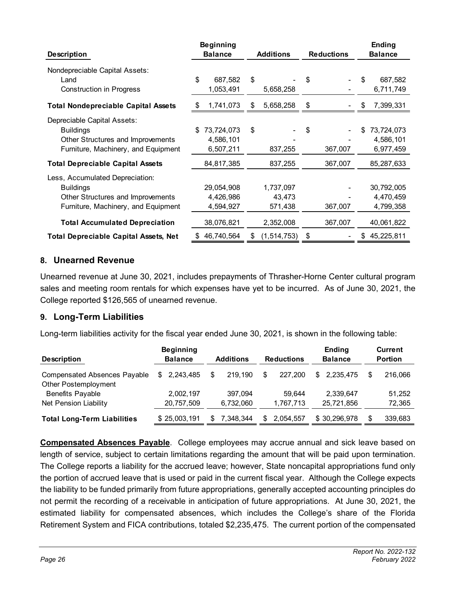|                                              |                | <b>Beginning</b> |                  |               |                   |         |                | Ending     |
|----------------------------------------------|----------------|------------------|------------------|---------------|-------------------|---------|----------------|------------|
| <b>Description</b>                           | <b>Balance</b> |                  | <b>Additions</b> |               | <b>Reductions</b> |         | <b>Balance</b> |            |
| Nondepreciable Capital Assets:               |                |                  |                  |               |                   |         |                |            |
| Land                                         | \$             | 687,582          | \$               |               | \$                |         | \$             | 687,582    |
| <b>Construction in Progress</b>              |                | 1,053,491        |                  | 5,658,258     |                   |         |                | 6,711,749  |
| <b>Total Nondepreciable Capital Assets</b>   | - \$           | 1,741,073        | \$               | 5,658,258     | \$                |         | \$             | 7,399,331  |
| Depreciable Capital Assets:                  |                |                  |                  |               |                   |         |                |            |
| <b>Buildings</b>                             | \$             | 73,724,073       | \$               |               | \$                |         | \$             | 73,724,073 |
| Other Structures and Improvements            |                | 4,586,101        |                  |               |                   |         |                | 4,586,101  |
| Furniture, Machinery, and Equipment          |                | 6,507,211        |                  | 837,255       |                   | 367,007 |                | 6,977,459  |
| <b>Total Depreciable Capital Assets</b>      |                | 84,817,385       |                  | 837,255       |                   | 367,007 |                | 85,287,633 |
| Less, Accumulated Depreciation:              |                |                  |                  |               |                   |         |                |            |
| <b>Buildings</b>                             |                | 29,054,908       |                  | 1,737,097     |                   |         |                | 30,792,005 |
| Other Structures and Improvements            |                | 4,426,986        |                  | 43,473        |                   |         |                | 4,470,459  |
| Furniture, Machinery, and Equipment          |                | 4,594,927        |                  | 571,438       |                   | 367,007 |                | 4,799,358  |
| <b>Total Accumulated Depreciation</b>        |                | 38,076,821       |                  | 2,352,008     |                   | 367,007 |                | 40,061,822 |
| <b>Total Depreciable Capital Assets, Net</b> | S.             | 46,740,564       | \$               | (1, 514, 753) | \$                |         |                | 45,225,811 |

# **8. Unearned Revenue**

Unearned revenue at June 30, 2021, includes prepayments of Thrasher-Horne Center cultural program sales and meeting room rentals for which expenses have yet to be incurred. As of June 30, 2021, the College reported \$126,565 of unearned revenue.

# **9. Long-Term Liabilities**

Long-term liabilities activity for the fiscal year ended June 30, 2021, is shown in the following table:

| <b>Description</b>                                                 | <b>Beginning</b><br><b>Balance</b> | <b>Additions</b>     |     | <b>Reductions</b>   | <b>Ending</b><br><b>Balance</b> |    | <b>Current</b><br><b>Portion</b> |
|--------------------------------------------------------------------|------------------------------------|----------------------|-----|---------------------|---------------------------------|----|----------------------------------|
| <b>Compensated Absences Payable</b><br><b>Other Postemployment</b> | 2.243.485<br>S.                    | \$<br>219.190        | \$  | 227.200             | \$<br>2.235.475                 | S  | 216,066                          |
| <b>Benefits Payable</b><br>Net Pension Liability                   | 2,002,197<br>20,757,509            | 397.094<br>6,732,060 |     | 59.644<br>1,767,713 | 2,339,647<br>25,721,856         |    | 51,252<br>72,365                 |
| <b>Total Long-Term Liabilities</b>                                 | \$25,003,191                       | \$<br>7,348,344      | \$. | 2.054.557           | \$30,296,978                    | \$ | 339,683                          |

**Compensated Absences Payable**. College employees may accrue annual and sick leave based on length of service, subject to certain limitations regarding the amount that will be paid upon termination. The College reports a liability for the accrued leave; however, State noncapital appropriations fund only the portion of accrued leave that is used or paid in the current fiscal year. Although the College expects the liability to be funded primarily from future appropriations, generally accepted accounting principles do not permit the recording of a receivable in anticipation of future appropriations. At June 30, 2021, the estimated liability for compensated absences, which includes the College's share of the Florida Retirement System and FICA contributions, totaled \$2,235,475. The current portion of the compensated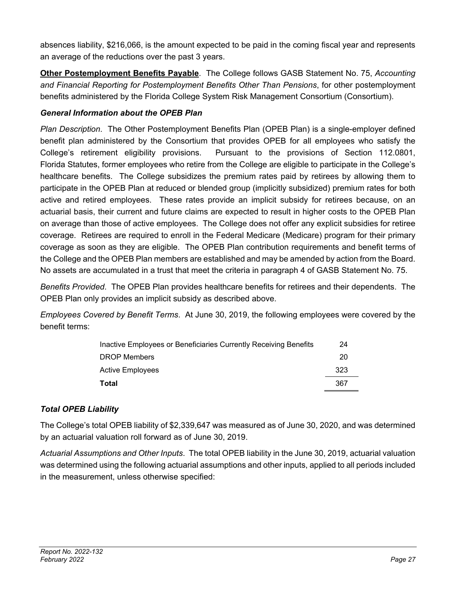absences liability, \$216,066, is the amount expected to be paid in the coming fiscal year and represents an average of the reductions over the past 3 years.

**Other Postemployment Benefits Payable**. The College follows GASB Statement No. 75, *Accounting and Financial Reporting for Postemployment Benefits Other Than Pensions*, for other postemployment benefits administered by the Florida College System Risk Management Consortium (Consortium).

# *General Information about the OPEB Plan*

*Plan Description*. The Other Postemployment Benefits Plan (OPEB Plan) is a single-employer defined benefit plan administered by the Consortium that provides OPEB for all employees who satisfy the College's retirement eligibility provisions. Pursuant to the provisions of Section 112.0801, Florida Statutes, former employees who retire from the College are eligible to participate in the College's healthcare benefits. The College subsidizes the premium rates paid by retirees by allowing them to participate in the OPEB Plan at reduced or blended group (implicitly subsidized) premium rates for both active and retired employees. These rates provide an implicit subsidy for retirees because, on an actuarial basis, their current and future claims are expected to result in higher costs to the OPEB Plan on average than those of active employees. The College does not offer any explicit subsidies for retiree coverage. Retirees are required to enroll in the Federal Medicare (Medicare) program for their primary coverage as soon as they are eligible. The OPEB Plan contribution requirements and benefit terms of the College and the OPEB Plan members are established and may be amended by action from the Board. No assets are accumulated in a trust that meet the criteria in paragraph 4 of GASB Statement No. 75.

*Benefits Provided*. The OPEB Plan provides healthcare benefits for retirees and their dependents. The OPEB Plan only provides an implicit subsidy as described above.

*Employees Covered by Benefit Terms*. At June 30, 2019, the following employees were covered by the benefit terms:

| Inactive Employees or Beneficiaries Currently Receiving Benefits | 24  |  |
|------------------------------------------------------------------|-----|--|
| <b>DROP Members</b>                                              | 20  |  |
| Active Employees                                                 | 323 |  |
| Total                                                            | 367 |  |

# *Total OPEB Liability*

The College's total OPEB liability of \$2,339,647 was measured as of June 30, 2020, and was determined by an actuarial valuation roll forward as of June 30, 2019.

*Actuarial Assumptions and Other Inputs*. The total OPEB liability in the June 30, 2019, actuarial valuation was determined using the following actuarial assumptions and other inputs, applied to all periods included in the measurement, unless otherwise specified: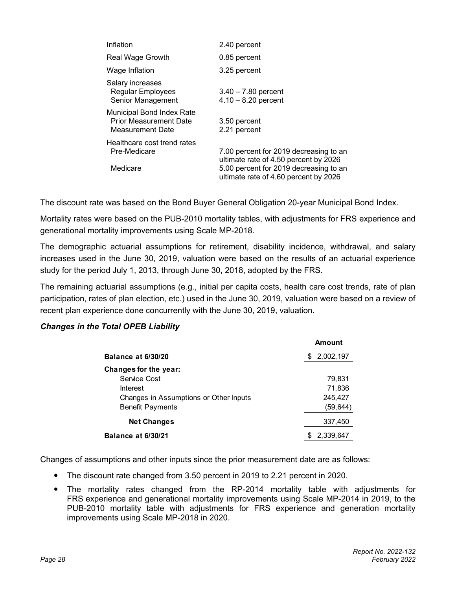| Inflation                                                                             | 2.40 percent                                                                    |
|---------------------------------------------------------------------------------------|---------------------------------------------------------------------------------|
| Real Wage Growth                                                                      | 0.85 percent                                                                    |
| Wage Inflation                                                                        | 3.25 percent                                                                    |
| Salary increases<br><b>Regular Employees</b><br><b>Senior Management</b>              | $3.40 - 7.80$ percent<br>$4.10 - 8.20$ percent                                  |
| Municipal Bond Index Rate<br><b>Prior Measurement Date</b><br><b>Measurement Date</b> | 3.50 percent<br>2.21 percent                                                    |
| Healthcare cost trend rates<br>Pre-Medicare                                           | 7.00 percent for 2019 decreasing to an<br>ultimate rate of 4.50 percent by 2026 |
| Medicare                                                                              | 5.00 percent for 2019 decreasing to an<br>ultimate rate of 4.60 percent by 2026 |

The discount rate was based on the Bond Buyer General Obligation 20-year Municipal Bond Index.

Mortality rates were based on the PUB-2010 mortality tables, with adjustments for FRS experience and generational mortality improvements using Scale MP-2018.

The demographic actuarial assumptions for retirement, disability incidence, withdrawal, and salary increases used in the June 30, 2019, valuation were based on the results of an actuarial experience study for the period July 1, 2013, through June 30, 2018, adopted by the FRS.

The remaining actuarial assumptions (e.g., initial per capita costs, health care cost trends, rate of plan participation, rates of plan election, etc.) used in the June 30, 2019, valuation were based on a review of recent plan experience done concurrently with the June 30, 2019, valuation.

# *Changes in the Total OPEB Liability*

|                                        | <b>Amount</b>    |
|----------------------------------------|------------------|
| Balance at 6/30/20                     | 2,002,197<br>\$. |
| Changes for the year:                  |                  |
| Service Cost                           | 79,831           |
| Interest                               | 71,836           |
| Changes in Assumptions or Other Inputs | 245,427          |
| <b>Benefit Payments</b>                | (59,644)         |
| <b>Net Changes</b>                     | 337,450          |
| Balance at 6/30/21                     | 2.339.647<br>S   |

Changes of assumptions and other inputs since the prior measurement date are as follows:

- The discount rate changed from 3.50 percent in 2019 to 2.21 percent in 2020.
- The mortality rates changed from the RP-2014 mortality table with adjustments for FRS experience and generational mortality improvements using Scale MP-2014 in 2019, to the PUB-2010 mortality table with adjustments for FRS experience and generation mortality improvements using Scale MP-2018 in 2020.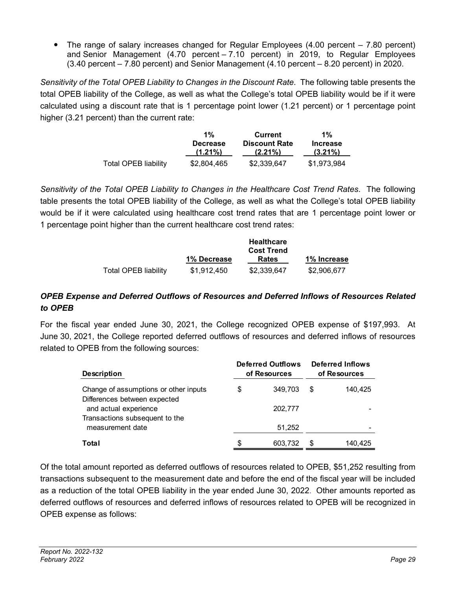The range of salary increases changed for Regular Employees (4.00 percent – 7.80 percent) and Senior Management (4.70 percent – 7.10 percent) in 2019, to Regular Employees (3.40 percent – 7.80 percent) and Senior Management (4.10 percent – 8.20 percent) in 2020.

*Sensitivity of the Total OPEB Liability to Changes in the Discount Rate*. The following table presents the total OPEB liability of the College, as well as what the College's total OPEB liability would be if it were calculated using a discount rate that is 1 percentage point lower (1.21 percent) or 1 percentage point higher (3.21 percent) than the current rate:

|                      | 1%              | Current              | $1\%$           |
|----------------------|-----------------|----------------------|-----------------|
|                      | <b>Decrease</b> | <b>Discount Rate</b> | <b>Increase</b> |
|                      | $(1.21\%)$      | $(2.21\%)$           | $(3.21\%)$      |
| Total OPEB liability | \$2,804.465     | \$2,339,647          | \$1,973,984     |

*Sensitivity of the Total OPEB Liability to Changes in the Healthcare Cost Trend Rates*. The following table presents the total OPEB liability of the College, as well as what the College's total OPEB liability would be if it were calculated using healthcare cost trend rates that are 1 percentage point lower or 1 percentage point higher than the current healthcare cost trend rates:

|                      |             | <b>Healthcare</b><br><b>Cost Trend</b> |             |
|----------------------|-------------|----------------------------------------|-------------|
|                      | 1% Decrease | Rates                                  | 1% Increase |
| Total OPEB liability | \$1.912.450 | \$2,339,647                            | \$2,906,677 |

# *OPEB Expense and Deferred Outflows of Resources and Deferred Inflows of Resources Related to OPEB*

For the fiscal year ended June 30, 2021, the College recognized OPEB expense of \$197,993. At June 30, 2021, the College reported deferred outflows of resources and deferred inflows of resources related to OPEB from the following sources:

| <b>Description</b>                                                    | <b>Deferred Outflows</b><br>of Resources |         | <b>Deferred Inflows</b><br>of Resources |         |
|-----------------------------------------------------------------------|------------------------------------------|---------|-----------------------------------------|---------|
| Change of assumptions or other inputs<br>Differences between expected | \$                                       | 349,703 | \$                                      | 140,425 |
| and actual experience                                                 |                                          | 202,777 |                                         |         |
| Transactions subsequent to the<br>measurement date                    |                                          | 51,252  |                                         |         |
| Total                                                                 | \$                                       | 603,732 | S                                       | 140,425 |

Of the total amount reported as deferred outflows of resources related to OPEB, \$51,252 resulting from transactions subsequent to the measurement date and before the end of the fiscal year will be included as a reduction of the total OPEB liability in the year ended June 30, 2022. Other amounts reported as deferred outflows of resources and deferred inflows of resources related to OPEB will be recognized in OPEB expense as follows: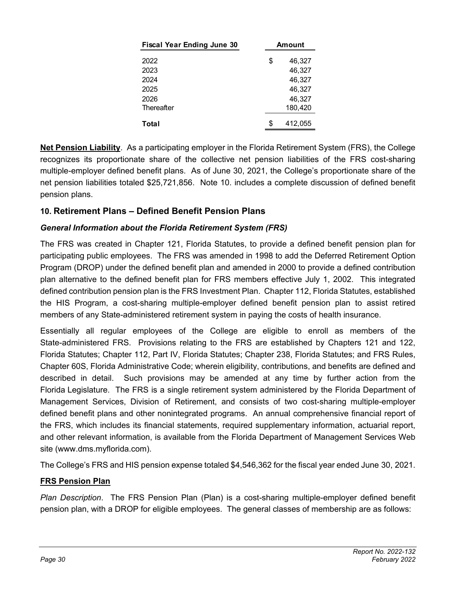| <b>Fiscal Year Ending June 30</b> |    | <b>Amount</b> |  |  |
|-----------------------------------|----|---------------|--|--|
| 2022                              | \$ | 46,327        |  |  |
| 2023                              |    | 46,327        |  |  |
| 2024                              |    | 46,327        |  |  |
| 2025                              |    | 46,327        |  |  |
| 2026                              |    | 46,327        |  |  |
| Thereafter                        |    | 180,420       |  |  |
| Total                             |    | 412,055       |  |  |

**Net Pension Liability**. As a participating employer in the Florida Retirement System (FRS), the College recognizes its proportionate share of the collective net pension liabilities of the FRS cost-sharing multiple-employer defined benefit plans. As of June 30, 2021, the College's proportionate share of the net pension liabilities totaled \$25,721,856. Note 10. includes a complete discussion of defined benefit pension plans.

# **10. Retirement Plans – Defined Benefit Pension Plans**

# *General Information about the Florida Retirement System (FRS)*

The FRS was created in Chapter 121, Florida Statutes, to provide a defined benefit pension plan for participating public employees. The FRS was amended in 1998 to add the Deferred Retirement Option Program (DROP) under the defined benefit plan and amended in 2000 to provide a defined contribution plan alternative to the defined benefit plan for FRS members effective July 1, 2002. This integrated defined contribution pension plan is the FRS Investment Plan. Chapter 112, Florida Statutes, established the HIS Program, a cost-sharing multiple-employer defined benefit pension plan to assist retired members of any State-administered retirement system in paying the costs of health insurance.

Essentially all regular employees of the College are eligible to enroll as members of the State-administered FRS. Provisions relating to the FRS are established by Chapters 121 and 122, Florida Statutes; Chapter 112, Part IV, Florida Statutes; Chapter 238, Florida Statutes; and FRS Rules, Chapter 60S, Florida Administrative Code; wherein eligibility, contributions, and benefits are defined and described in detail. Such provisions may be amended at any time by further action from the Florida Legislature. The FRS is a single retirement system administered by the Florida Department of Management Services, Division of Retirement, and consists of two cost-sharing multiple-employer defined benefit plans and other nonintegrated programs. An annual comprehensive financial report of the FRS, which includes its financial statements, required supplementary information, actuarial report, and other relevant information, is available from the Florida Department of Management Services Web site (www.dms.myflorida.com).

The College's FRS and HIS pension expense totaled \$4,546,362 for the fiscal year ended June 30, 2021.

# **FRS Pension Plan**

*Plan Description*. The FRS Pension Plan (Plan) is a cost-sharing multiple-employer defined benefit pension plan, with a DROP for eligible employees. The general classes of membership are as follows: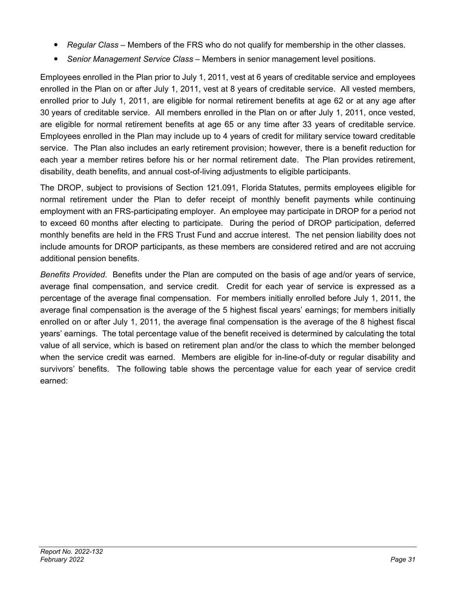- *Regular Class* Members of the FRS who do not qualify for membership in the other classes.
- *Senior Management Service Class* Members in senior management level positions.

Employees enrolled in the Plan prior to July 1, 2011, vest at 6 years of creditable service and employees enrolled in the Plan on or after July 1, 2011, vest at 8 years of creditable service. All vested members, enrolled prior to July 1, 2011, are eligible for normal retirement benefits at age 62 or at any age after 30 years of creditable service. All members enrolled in the Plan on or after July 1, 2011, once vested, are eligible for normal retirement benefits at age 65 or any time after 33 years of creditable service. Employees enrolled in the Plan may include up to 4 years of credit for military service toward creditable service. The Plan also includes an early retirement provision; however, there is a benefit reduction for each year a member retires before his or her normal retirement date. The Plan provides retirement, disability, death benefits, and annual cost-of-living adjustments to eligible participants.

The DROP, subject to provisions of Section 121.091, Florida Statutes, permits employees eligible for normal retirement under the Plan to defer receipt of monthly benefit payments while continuing employment with an FRS-participating employer. An employee may participate in DROP for a period not to exceed 60 months after electing to participate. During the period of DROP participation, deferred monthly benefits are held in the FRS Trust Fund and accrue interest. The net pension liability does not include amounts for DROP participants, as these members are considered retired and are not accruing additional pension benefits.

*Benefits Provided*. Benefits under the Plan are computed on the basis of age and/or years of service, average final compensation, and service credit. Credit for each year of service is expressed as a percentage of the average final compensation. For members initially enrolled before July 1, 2011, the average final compensation is the average of the 5 highest fiscal years' earnings; for members initially enrolled on or after July 1, 2011, the average final compensation is the average of the 8 highest fiscal years' earnings. The total percentage value of the benefit received is determined by calculating the total value of all service, which is based on retirement plan and/or the class to which the member belonged when the service credit was earned. Members are eligible for in-line-of-duty or regular disability and survivors' benefits. The following table shows the percentage value for each year of service credit earned: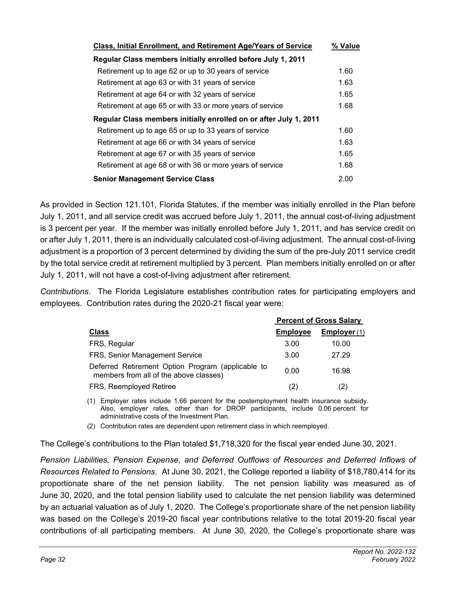| Class, Initial Enrollment, and Retirement Age/Years of Service    | % Value |
|-------------------------------------------------------------------|---------|
| Regular Class members initially enrolled before July 1, 2011      |         |
| Retirement up to age 62 or up to 30 years of service              | 1.60    |
| Retirement at age 63 or with 31 years of service                  | 1.63    |
| Retirement at age 64 or with 32 years of service                  | 1.65    |
| Retirement at age 65 or with 33 or more years of service          | 1.68    |
| Regular Class members initially enrolled on or after July 1, 2011 |         |
| Retirement up to age 65 or up to 33 years of service              | 1.60    |
| Retirement at age 66 or with 34 years of service                  | 1.63    |
| Retirement at age 67 or with 35 years of service                  | 1.65    |
| Retirement at age 68 or with 36 or more years of service          | 1.68    |
| <b>Senior Management Service Class</b>                            | 2.00    |

As provided in Section 121.101, Florida Statutes, if the member was initially enrolled in the Plan before July 1, 2011, and all service credit was accrued before July 1, 2011, the annual cost-of-living adjustment is 3 percent per year. If the member was initially enrolled before July 1, 2011, and has service credit on or after July 1, 2011, there is an individually calculated cost-of-living adjustment. The annual cost-of-living adjustment is a proportion of 3 percent determined by dividing the sum of the pre-July 2011 service credit by the total service credit at retirement multiplied by 3 percent. Plan members initially enrolled on or after July 1, 2011, will not have a cost-of-living adjustment after retirement.

*Contributions*. The Florida Legislature establishes contribution rates for participating employers and employees. Contribution rates during the 2020-21 fiscal year were:

|                                                                                             | <b>Percent of Gross Salary</b> |                |  |
|---------------------------------------------------------------------------------------------|--------------------------------|----------------|--|
| <b>Class</b>                                                                                | <b>Employee</b>                | Employer $(1)$ |  |
| FRS, Regular                                                                                | 3.00                           | 10.00          |  |
| <b>FRS, Senior Management Service</b>                                                       | 3.00                           | 27.29          |  |
| Deferred Retirement Option Program (applicable to<br>members from all of the above classes) | 0.00                           | 16.98          |  |
| FRS, Reemployed Retiree                                                                     | (2)                            | (2)            |  |

(1) Employer rates include 1.66 percent for the postemployment health insurance subsidy. Also, employer rates, other than for DROP participants, include 0.06 percent for administrative costs of the Investment Plan.

(2) Contribution rates are dependent upon retirement class in which reemployed.

The College's contributions to the Plan totaled \$1,718,320 for the fiscal year ended June 30, 2021.

*Pension Liabilities, Pension Expense, and Deferred Outflows of Resources and Deferred Inflows of Resources Related to Pensions*. At June 30, 2021, the College reported a liability of \$18,780,414 for its proportionate share of the net pension liability. The net pension liability was measured as of June 30, 2020, and the total pension liability used to calculate the net pension liability was determined by an actuarial valuation as of July 1, 2020. The College's proportionate share of the net pension liability was based on the College's 2019-20 fiscal year contributions relative to the total 2019-20 fiscal year contributions of all participating members. At June 30, 2020, the College's proportionate share was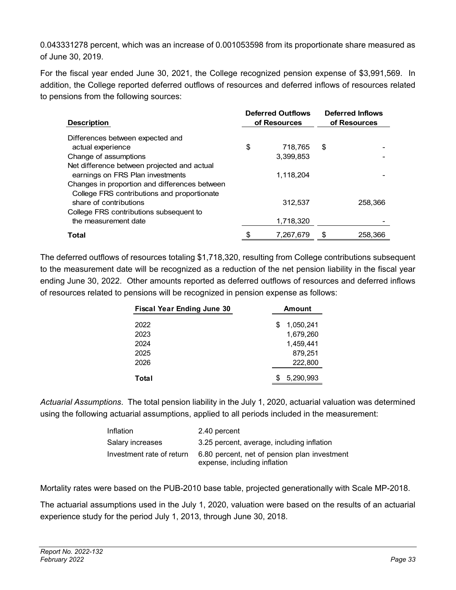0.043331278 percent, which was an increase of 0.001053598 from its proportionate share measured as of June 30, 2019.

For the fiscal year ended June 30, 2021, the College recognized pension expense of \$3,991,569. In addition, the College reported deferred outflows of resources and deferred inflows of resources related to pensions from the following sources:

| <b>Description</b>                            | <b>Deferred Outflows</b><br>of Resources |           | <b>Deferred Inflows</b><br>of Resources |         |
|-----------------------------------------------|------------------------------------------|-----------|-----------------------------------------|---------|
| Differences between expected and              |                                          |           |                                         |         |
| actual experience                             | \$                                       | 718,765   | \$                                      |         |
| Change of assumptions                         |                                          | 3,399,853 |                                         |         |
| Net difference between projected and actual   |                                          |           |                                         |         |
| earnings on FRS Plan investments              |                                          | 1,118,204 |                                         |         |
| Changes in proportion and differences between |                                          |           |                                         |         |
| College FRS contributions and proportionate   |                                          |           |                                         |         |
| share of contributions                        |                                          | 312.537   |                                         | 258,366 |
| College FRS contributions subsequent to       |                                          |           |                                         |         |
| the measurement date                          |                                          | 1,718,320 |                                         |         |
| <b>Total</b>                                  |                                          | 7,267,679 |                                         | 258,366 |

The deferred outflows of resources totaling \$1,718,320, resulting from College contributions subsequent to the measurement date will be recognized as a reduction of the net pension liability in the fiscal year ending June 30, 2022. Other amounts reported as deferred outflows of resources and deferred inflows of resources related to pensions will be recognized in pension expense as follows:

| <b>Fiscal Year Ending June 30</b> | Amount         |
|-----------------------------------|----------------|
| 2022                              | 1,050,241<br>S |
| 2023                              | 1,679,260      |
| 2024                              | 1,459,441      |
| 2025                              | 879,251        |
| 2026                              | 222,800        |
| Total                             | 5,290,993      |

*Actuarial Assumptions*. The total pension liability in the July 1, 2020, actuarial valuation was determined using the following actuarial assumptions, applied to all periods included in the measurement:

| Inflation                 | 2.40 percent                                                                 |
|---------------------------|------------------------------------------------------------------------------|
| Salary increases          | 3.25 percent, average, including inflation                                   |
| Investment rate of return | 6.80 percent, net of pension plan investment<br>expense, including inflation |

Mortality rates were based on the PUB-2010 base table, projected generationally with Scale MP-2018.

The actuarial assumptions used in the July 1, 2020, valuation were based on the results of an actuarial experience study for the period July 1, 2013, through June 30, 2018.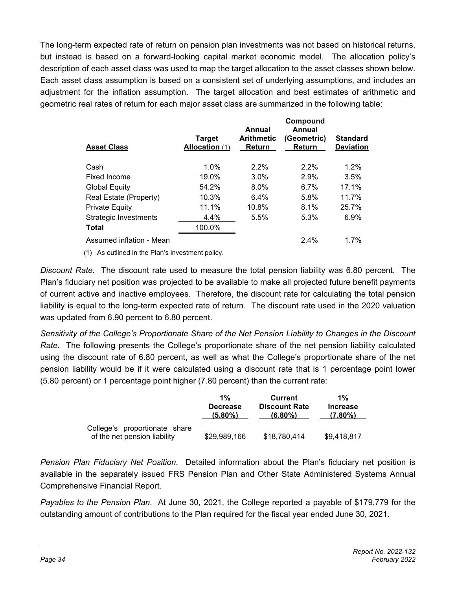The long-term expected rate of return on pension plan investments was not based on historical returns, but instead is based on a forward-looking capital market economic model. The allocation policy's description of each asset class was used to map the target allocation to the asset classes shown below. Each asset class assumption is based on a consistent set of underlying assumptions, and includes an adjustment for the inflation assumption. The target allocation and best estimates of arithmetic and geometric real rates of return for each major asset class are summarized in the following table:

| Asset Class              | <b>Target</b><br>Allocation (1) | Annual<br><b>Arithmetic</b><br><b>Return</b> | Compound<br>Annual<br>(Geometric)<br>Return | <b>Standard</b><br><b>Deviation</b> |
|--------------------------|---------------------------------|----------------------------------------------|---------------------------------------------|-------------------------------------|
| Cash                     | 1.0%                            | 2.2%                                         | $2.2\%$                                     | 1.2%                                |
| Fixed Income             | 19.0%                           | 3.0%                                         | 2.9%                                        | 3.5%                                |
| <b>Global Equity</b>     | 54.2%                           | 8.0%                                         | 6.7%                                        | 17.1%                               |
| Real Estate (Property)   | 10.3%                           | 6.4%                                         | 5.8%                                        | 11.7%                               |
| <b>Private Equity</b>    | 11.1%                           | 10.8%                                        | 8.1%                                        | 25.7%                               |
| Strategic Investments    | 4.4%                            | 5.5%                                         | 5.3%                                        | 6.9%                                |
| Total                    | 100.0%                          |                                              |                                             |                                     |
| Assumed inflation - Mean |                                 |                                              | 2.4%                                        | 1.7%                                |
|                          |                                 |                                              |                                             |                                     |

(1) As outlined in the Plan's investment policy.

*Discount Rate*. The discount rate used to measure the total pension liability was 6.80 percent. The Plan's fiduciary net position was projected to be available to make all projected future benefit payments of current active and inactive employees. Therefore, the discount rate for calculating the total pension liability is equal to the long-term expected rate of return. The discount rate used in the 2020 valuation was updated from 6.90 percent to 6.80 percent.

*Sensitivity of the College's Proportionate Share of the Net Pension Liability to Changes in the Discount Rate*. The following presents the College's proportionate share of the net pension liability calculated using the discount rate of 6.80 percent, as well as what the College's proportionate share of the net pension liability would be if it were calculated using a discount rate that is 1 percentage point lower (5.80 percent) or 1 percentage point higher (7.80 percent) than the current rate:

|                                                               | $1\%$           | Current              | $1\%$           |
|---------------------------------------------------------------|-----------------|----------------------|-----------------|
|                                                               | <b>Decrease</b> | <b>Discount Rate</b> | <b>Increase</b> |
|                                                               | $(5.80\%)$      | $(6.80\%)$           | $(7.80\%)$      |
| College's proportionate share<br>of the net pension liability | \$29,989,166    | \$18,780,414         | \$9,418,817     |

*Pension Plan Fiduciary Net Position*. Detailed information about the Plan's fiduciary net position is available in the separately issued FRS Pension Plan and Other State Administered Systems Annual Comprehensive Financial Report.

*Payables to the Pension Plan*. At June 30, 2021, the College reported a payable of \$179,779 for the outstanding amount of contributions to the Plan required for the fiscal year ended June 30, 2021.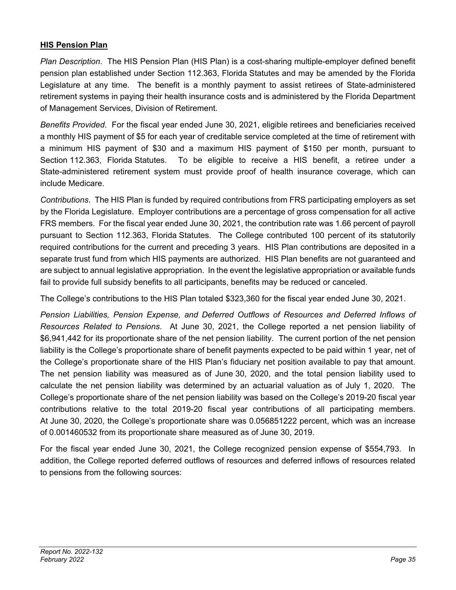# **HIS Pension Plan**

*Plan Description*. The HIS Pension Plan (HIS Plan) is a cost-sharing multiple-employer defined benefit pension plan established under Section 112.363, Florida Statutes and may be amended by the Florida Legislature at any time. The benefit is a monthly payment to assist retirees of State-administered retirement systems in paying their health insurance costs and is administered by the Florida Department of Management Services, Division of Retirement.

*Benefits Provided*. For the fiscal year ended June 30, 2021, eligible retirees and beneficiaries received a monthly HIS payment of \$5 for each year of creditable service completed at the time of retirement with a minimum HIS payment of \$30 and a maximum HIS payment of \$150 per month, pursuant to Section 112.363, Florida Statutes. To be eligible to receive a HIS benefit, a retiree under a State-administered retirement system must provide proof of health insurance coverage, which can include Medicare.

*Contributions*. The HIS Plan is funded by required contributions from FRS participating employers as set by the Florida Legislature. Employer contributions are a percentage of gross compensation for all active FRS members. For the fiscal year ended June 30, 2021, the contribution rate was 1.66 percent of payroll pursuant to Section 112.363, Florida Statutes. The College contributed 100 percent of its statutorily required contributions for the current and preceding 3 years. HIS Plan contributions are deposited in a separate trust fund from which HIS payments are authorized. HIS Plan benefits are not guaranteed and are subject to annual legislative appropriation. In the event the legislative appropriation or available funds fail to provide full subsidy benefits to all participants, benefits may be reduced or canceled.

The College's contributions to the HIS Plan totaled \$323,360 for the fiscal year ended June 30, 2021.

*Pension Liabilities, Pension Expense, and Deferred Outflows of Resources and Deferred Inflows of Resources Related to Pensions*. At June 30, 2021, the College reported a net pension liability of \$6,941,442 for its proportionate share of the net pension liability. The current portion of the net pension liability is the College's proportionate share of benefit payments expected to be paid within 1 year, net of the College's proportionate share of the HIS Plan's fiduciary net position available to pay that amount. The net pension liability was measured as of June 30, 2020, and the total pension liability used to calculate the net pension liability was determined by an actuarial valuation as of July 1, 2020. The College's proportionate share of the net pension liability was based on the College's 2019-20 fiscal year contributions relative to the total 2019-20 fiscal year contributions of all participating members. At June 30, 2020, the College's proportionate share was 0.056851222 percent, which was an increase of 0.001460532 from its proportionate share measured as of June 30, 2019.

For the fiscal year ended June 30, 2021, the College recognized pension expense of \$554,793. In addition, the College reported deferred outflows of resources and deferred inflows of resources related to pensions from the following sources: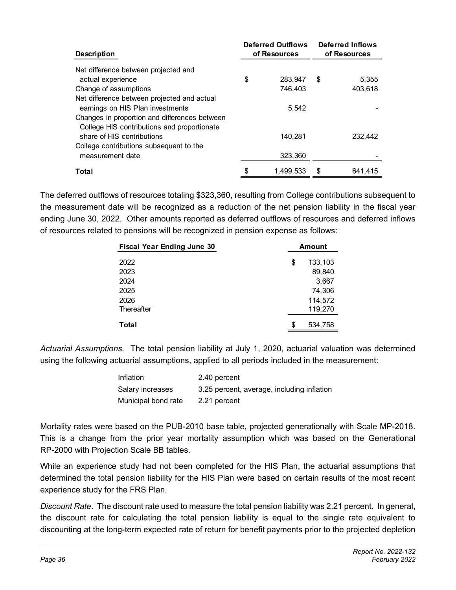| <b>Description</b>                            | <b>Deferred Outflows</b><br>of Resources |           | Deferred Inflows<br>of Resources |         |
|-----------------------------------------------|------------------------------------------|-----------|----------------------------------|---------|
| Net difference between projected and          |                                          |           |                                  |         |
| actual experience                             | \$                                       | 283,947   | S                                | 5,355   |
| Change of assumptions                         |                                          | 746,403   |                                  | 403,618 |
| Net difference between projected and actual   |                                          |           |                                  |         |
| earnings on HIS Plan investments              |                                          | 5,542     |                                  |         |
| Changes in proportion and differences between |                                          |           |                                  |         |
| College HIS contributions and proportionate   |                                          |           |                                  |         |
| share of HIS contributions                    |                                          | 140.281   |                                  | 232.442 |
| College contributions subsequent to the       |                                          |           |                                  |         |
| measurement date                              |                                          | 323,360   |                                  |         |
| Total                                         | \$                                       | 1,499,533 | S                                | 641.415 |

The deferred outflows of resources totaling \$323,360, resulting from College contributions subsequent to the measurement date will be recognized as a reduction of the net pension liability in the fiscal year ending June 30, 2022. Other amounts reported as deferred outflows of resources and deferred inflows of resources related to pensions will be recognized in pension expense as follows:

| <b>Fiscal Year Ending June 30</b> | <b>Amount</b> |
|-----------------------------------|---------------|
| 2022                              | \$<br>133,103 |
| 2023                              | 89,840        |
| 2024                              | 3,667         |
| 2025                              | 74,306        |
| 2026                              | 114,572       |
| Thereafter                        | 119,270       |
| Total                             | \$<br>534,758 |

*Actuarial Assumptions.* The total pension liability at July 1, 2020, actuarial valuation was determined using the following actuarial assumptions, applied to all periods included in the measurement:

| Inflation           | 2.40 percent                               |
|---------------------|--------------------------------------------|
| Salary increases    | 3.25 percent, average, including inflation |
| Municipal bond rate | 2.21 percent                               |

Mortality rates were based on the PUB-2010 base table, projected generationally with Scale MP-2018. This is a change from the prior year mortality assumption which was based on the Generational RP-2000 with Projection Scale BB tables.

While an experience study had not been completed for the HIS Plan, the actuarial assumptions that determined the total pension liability for the HIS Plan were based on certain results of the most recent experience study for the FRS Plan.

*Discount Rate*. The discount rate used to measure the total pension liability was 2.21 percent. In general, the discount rate for calculating the total pension liability is equal to the single rate equivalent to discounting at the long-term expected rate of return for benefit payments prior to the projected depletion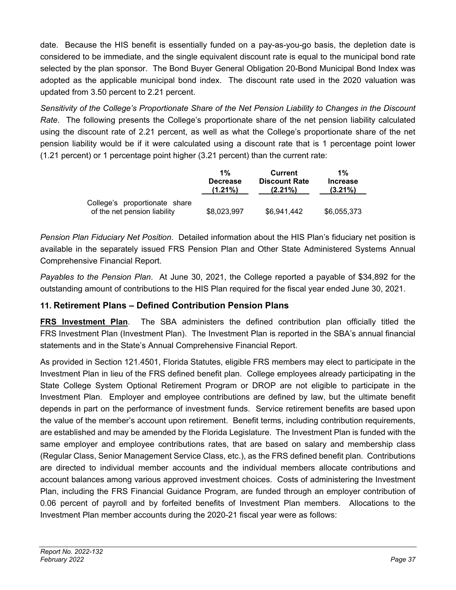date. Because the HIS benefit is essentially funded on a pay-as-you-go basis, the depletion date is considered to be immediate, and the single equivalent discount rate is equal to the municipal bond rate selected by the plan sponsor. The Bond Buyer General Obligation 20-Bond Municipal Bond Index was adopted as the applicable municipal bond index. The discount rate used in the 2020 valuation was updated from 3.50 percent to 2.21 percent.

*Sensitivity of the College's Proportionate Share of the Net Pension Liability to Changes in the Discount Rate*. The following presents the College's proportionate share of the net pension liability calculated using the discount rate of 2.21 percent, as well as what the College's proportionate share of the net pension liability would be if it were calculated using a discount rate that is 1 percentage point lower (1.21 percent) or 1 percentage point higher (3.21 percent) than the current rate:

|                                                               | 1%              | Current              | 1%              |
|---------------------------------------------------------------|-----------------|----------------------|-----------------|
|                                                               | <b>Decrease</b> | <b>Discount Rate</b> | <b>Increase</b> |
|                                                               | $(1.21\%)$      | $(2.21\%)$           | $(3.21\%)$      |
| College's proportionate share<br>of the net pension liability | \$8,023,997     | \$6,941,442          | \$6,055,373     |

*Pension Plan Fiduciary Net Position*. Detailed information about the HIS Plan's fiduciary net position is available in the separately issued FRS Pension Plan and Other State Administered Systems Annual Comprehensive Financial Report.

*Payables to the Pension Plan*. At June 30, 2021, the College reported a payable of \$34,892 for the outstanding amount of contributions to the HIS Plan required for the fiscal year ended June 30, 2021.

# **11. Retirement Plans – Defined Contribution Pension Plans**

**FRS Investment Plan**. The SBA administers the defined contribution plan officially titled the FRS Investment Plan (Investment Plan). The Investment Plan is reported in the SBA's annual financial statements and in the State's Annual Comprehensive Financial Report.

As provided in Section 121.4501, Florida Statutes, eligible FRS members may elect to participate in the Investment Plan in lieu of the FRS defined benefit plan. College employees already participating in the State College System Optional Retirement Program or DROP are not eligible to participate in the Investment Plan. Employer and employee contributions are defined by law, but the ultimate benefit depends in part on the performance of investment funds. Service retirement benefits are based upon the value of the member's account upon retirement. Benefit terms, including contribution requirements, are established and may be amended by the Florida Legislature. The Investment Plan is funded with the same employer and employee contributions rates, that are based on salary and membership class (Regular Class, Senior Management Service Class, etc.), as the FRS defined benefit plan. Contributions are directed to individual member accounts and the individual members allocate contributions and account balances among various approved investment choices. Costs of administering the Investment Plan, including the FRS Financial Guidance Program, are funded through an employer contribution of 0.06 percent of payroll and by forfeited benefits of Investment Plan members. Allocations to the Investment Plan member accounts during the 2020-21 fiscal year were as follows: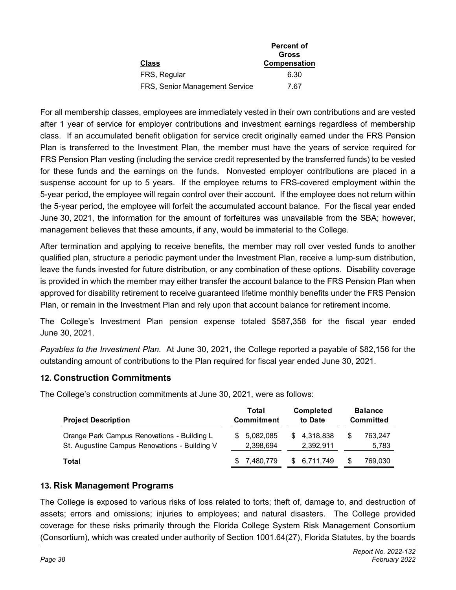|                                | Percent of   |
|--------------------------------|--------------|
|                                | Gross        |
| Class                          | Compensation |
| FRS, Regular                   | 6.30         |
| FRS, Senior Management Service | 7.67         |

For all membership classes, employees are immediately vested in their own contributions and are vested after 1 year of service for employer contributions and investment earnings regardless of membership class. If an accumulated benefit obligation for service credit originally earned under the FRS Pension Plan is transferred to the Investment Plan, the member must have the years of service required for FRS Pension Plan vesting (including the service credit represented by the transferred funds) to be vested for these funds and the earnings on the funds. Nonvested employer contributions are placed in a suspense account for up to 5 years. If the employee returns to FRS-covered employment within the 5-year period, the employee will regain control over their account. If the employee does not return within the 5-year period, the employee will forfeit the accumulated account balance. For the fiscal year ended June 30, 2021, the information for the amount of forfeitures was unavailable from the SBA; however, management believes that these amounts, if any, would be immaterial to the College.

After termination and applying to receive benefits, the member may roll over vested funds to another qualified plan, structure a periodic payment under the Investment Plan, receive a lump-sum distribution, leave the funds invested for future distribution, or any combination of these options. Disability coverage is provided in which the member may either transfer the account balance to the FRS Pension Plan when approved for disability retirement to receive guaranteed lifetime monthly benefits under the FRS Pension Plan, or remain in the Investment Plan and rely upon that account balance for retirement income.

The College's Investment Plan pension expense totaled \$587,358 for the fiscal year ended June 30, 2021.

*Payables to the Investment Plan.* At June 30, 2021, the College reported a payable of \$82,156 for the outstanding amount of contributions to the Plan required for fiscal year ended June 30, 2021.

# **12. Construction Commitments**

The College's construction commitments at June 30, 2021, were as follows:

| <b>Project Description</b>                                                                   | Total                  | <b>Completed</b>         | <b>Balance</b>        |  |  |
|----------------------------------------------------------------------------------------------|------------------------|--------------------------|-----------------------|--|--|
|                                                                                              | <b>Commitment</b>      | to Date                  | Committed             |  |  |
| Orange Park Campus Renovations - Building L<br>St. Augustine Campus Renovations - Building V | 5.082.085<br>2,398,694 | \$4.318.838<br>2.392.911 | 763.247<br>S<br>5,783 |  |  |
| Total                                                                                        | 7,480,779              | 6,711,749                | \$                    |  |  |
|                                                                                              | SБ.                    | \$                       | 769,030               |  |  |

# **13. Risk Management Programs**

The College is exposed to various risks of loss related to torts; theft of, damage to, and destruction of assets; errors and omissions; injuries to employees; and natural disasters. The College provided coverage for these risks primarily through the Florida College System Risk Management Consortium (Consortium), which was created under authority of Section 1001.64(27), Florida Statutes, by the boards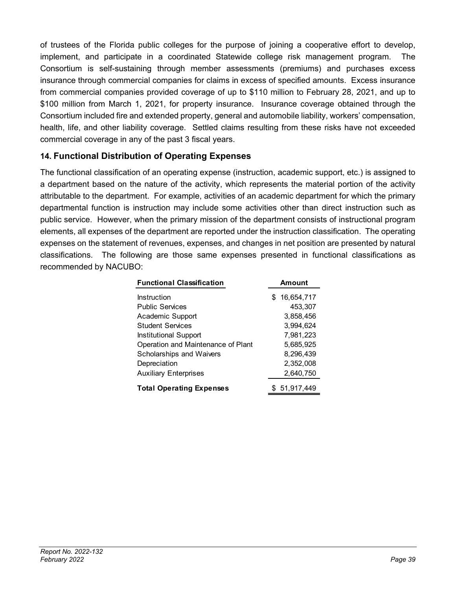of trustees of the Florida public colleges for the purpose of joining a cooperative effort to develop, implement, and participate in a coordinated Statewide college risk management program. The Consortium is self-sustaining through member assessments (premiums) and purchases excess insurance through commercial companies for claims in excess of specified amounts. Excess insurance from commercial companies provided coverage of up to \$110 million to February 28, 2021, and up to \$100 million from March 1, 2021, for property insurance. Insurance coverage obtained through the Consortium included fire and extended property, general and automobile liability, workers' compensation, health, life, and other liability coverage. Settled claims resulting from these risks have not exceeded commercial coverage in any of the past 3 fiscal years.

# **14. Functional Distribution of Operating Expenses**

The functional classification of an operating expense (instruction, academic support, etc.) is assigned to a department based on the nature of the activity, which represents the material portion of the activity attributable to the department. For example, activities of an academic department for which the primary departmental function is instruction may include some activities other than direct instruction such as public service. However, when the primary mission of the department consists of instructional program elements, all expenses of the department are reported under the instruction classification. The operating expenses on the statement of revenues, expenses, and changes in net position are presented by natural classifications. The following are those same expenses presented in functional classifications as recommended by NACUBO:

| <b>Functional Classification</b>   | Amount           |
|------------------------------------|------------------|
| Instruction                        | 16,654,717<br>S. |
| <b>Public Services</b>             | 453.307          |
| Academic Support                   | 3,858,456        |
| <b>Student Services</b>            | 3,994,624        |
| Institutional Support              | 7,981,223        |
| Operation and Maintenance of Plant | 5,685,925        |
| Scholarships and Waivers           | 8,296,439        |
| Depreciation                       | 2,352,008        |
| <b>Auxiliary Enterprises</b>       | 2,640,750        |
| <b>Total Operating Expenses</b>    | \$51,917,449     |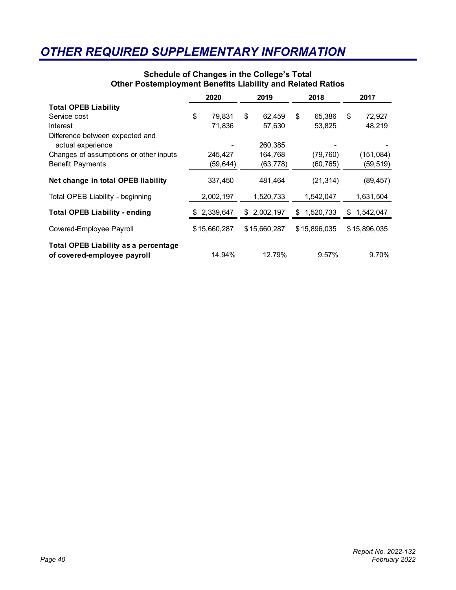# <span id="page-43-0"></span>*OTHER REQUIRED SUPPLEMENTARY INFORMATION*

|                                                                            | 2020         | 2019         | 2018         | 2017            |
|----------------------------------------------------------------------------|--------------|--------------|--------------|-----------------|
| <b>Total OPEB Liability</b>                                                |              |              |              |                 |
| Service cost                                                               | \$<br>79,831 | \$<br>62,459 | \$<br>65,386 | \$<br>72,927    |
| <b>Interest</b>                                                            | 71,836       | 57,630       | 53,825       | 48,219          |
| Difference between expected and                                            |              |              |              |                 |
| actual experience                                                          |              | 260,385      |              |                 |
| Changes of assumptions or other inputs                                     | 245,427      | 164,768      | (79, 760)    | (151, 084)      |
| <b>Benefit Payments</b>                                                    | (59, 644)    | (63, 778)    | (60, 765)    | (59, 519)       |
| Net change in total OPEB liability                                         | 337,450      | 481.464      | (21, 314)    | (89, 457)       |
| Total OPEB Liability - beginning                                           | 2,002,197    | 1,520,733    | 1,542,047    | 1,631,504       |
| <b>Total OPEB Liability - ending</b>                                       | \$2,339,647  | \$2,002,197  | \$1,520,733  | \$<br>1,542,047 |
| Covered-Employee Payroll                                                   | \$15,660,287 | \$15,660,287 | \$15,896,035 | \$15,896,035    |
| <b>Total OPEB Liability as a percentage</b><br>of covered-employee payroll | 14.94%       | 12.79%       | 9.57%        | 9.70%           |

### **Schedule of Changes in the College's Total Other Postemployment Benefits Liability and Related Ratios**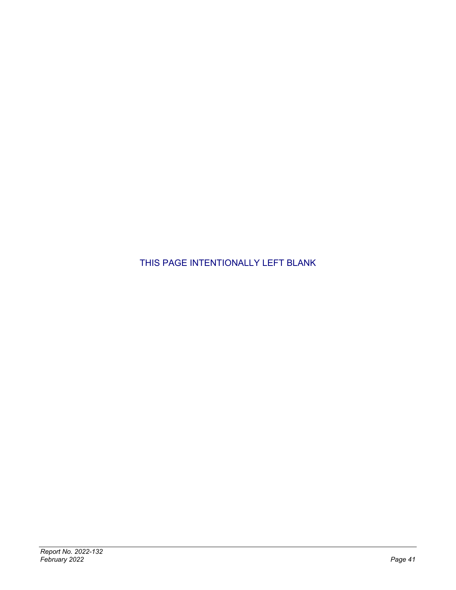THIS PAGE INTENTIONALLY LEFT BLANK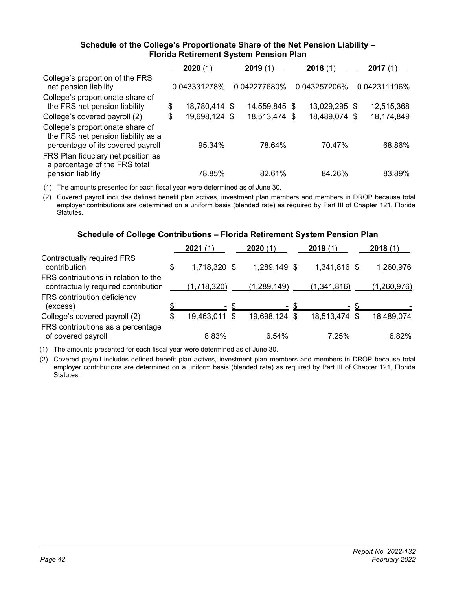#### **Schedule of the College's Proportionate Share of the Net Pension Liability – Florida Retirement System Pension Plan**

<span id="page-45-0"></span>

|                                                                                                             | 2020(1)             | 2019(1)       | 2018(1)       | 2017(1)      |
|-------------------------------------------------------------------------------------------------------------|---------------------|---------------|---------------|--------------|
| College's proportion of the FRS<br>net pension liability<br>College's proportionate share of                | 0.043331278%        | 0.042277680%  | 0.043257206%  | 0.042311196% |
| the FRS net pension liability                                                                               | \$<br>18,780,414 \$ | 14,559,845 \$ | 13,029,295 \$ | 12,515,368   |
| College's covered payroll (2)                                                                               | \$<br>19,698,124 \$ | 18,513,474 \$ | 18,489,074 \$ | 18,174,849   |
| College's proportionate share of<br>the FRS net pension liability as a<br>percentage of its covered payroll | 95.34%              | 78.64%        | 70.47%        | 68.86%       |
| FRS Plan fiduciary net position as<br>a percentage of the FRS total<br>pension liability                    | 78.85%              | 82.61%        | 84.26%        | 83.89%       |

(1) The amounts presented for each fiscal year were determined as of June 30.

(2) Covered payroll includes defined benefit plan actives, investment plan members and members in DROP because total employer contributions are determined on a uniform basis (blended rate) as required by Part III of Chapter 121, Florida Statutes.

#### **Schedule of College Contributions – Florida Retirement System Pension Plan**

|                                                                             | 2021(1)             | 2020(1)                  | 2019(1)      |     | 2018(1)       |
|-----------------------------------------------------------------------------|---------------------|--------------------------|--------------|-----|---------------|
| <b>Contractually required FRS</b><br>contribution                           | \$<br>1,718,320 \$  | 1,289,149 \$             | 1,341,816 \$ |     | 1,260,976     |
| FRS contributions in relation to the<br>contractually required contribution | (1,718,320)         | (1, 289, 149)            | (1,341,816)  |     | (1, 260, 976) |
| FRS contribution deficiency<br>(excess)                                     |                     | $\overline{\phantom{0}}$ |              |     |               |
| College's covered payroll (2)                                               | \$<br>19,463,011 \$ | 19,698,124 \$            | 18,513,474   | -\$ | 18,489,074    |
| FRS contributions as a percentage<br>of covered payroll                     | 8.83%               | 6.54%                    | 7.25%        |     | 6.82%         |

(1) The amounts presented for each fiscal year were determined as of June 30.

(2) Covered payroll includes defined benefit plan actives, investment plan members and members in DROP because total employer contributions are determined on a uniform basis (blended rate) as required by Part III of Chapter 121, Florida Statutes.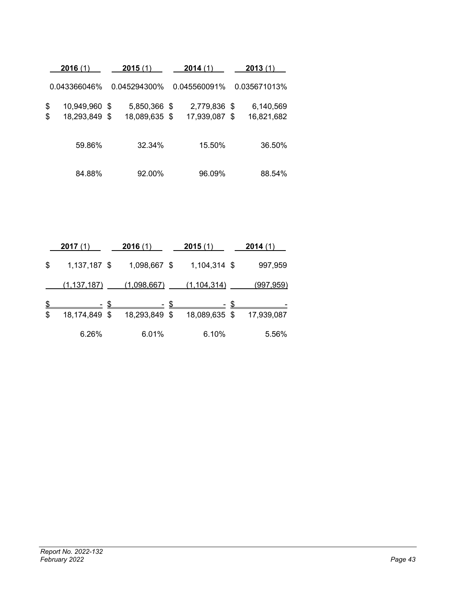|    | 2016(1)      |      | 2015(1)       |      | 2014(1)      |      | 2013 (1      |
|----|--------------|------|---------------|------|--------------|------|--------------|
|    | 0.043366046% |      | 0.045294300%  |      | 0.045560091% |      | 0.035671013% |
| \$ | 10,949,960   | - \$ | 5,850,366     | - \$ | 2,779,836 \$ |      | 6,140,569    |
| \$ | 18,293,849   | \$   | 18,089,635 \$ |      | 17,939,087   | - \$ | 16,821,682   |
|    | 59.86%       |      | 32.34%        |      | 15.50%       |      | 36.50%       |
|    | 84.88%       |      | 92.00%        |      | 96.09%       |      | 88.54%       |

| 2017(1)             |     | 2016(1)       |     | 2015(1)       | 2014(1)    |
|---------------------|-----|---------------|-----|---------------|------------|
| \$<br>1,137,187 \$  |     | 1,098,667 \$  |     | 1,104,314 \$  | 997,959    |
| (1, 137, 187)       |     | (1,098,667)   |     | (1, 104, 314) | (997,959)  |
|                     | - S |               | - S |               |            |
| \$<br>18,174,849 \$ |     | 18,293,849 \$ |     | 18,089,635 \$ | 17,939,087 |
| 6.26%               |     | 6.01%         |     | 6.10%         | 5.56%      |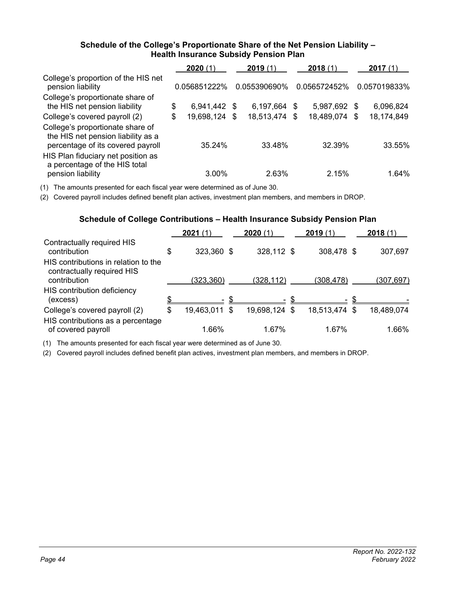#### **Schedule of the College's Proportionate Share of the Net Pension Liability – Health Insurance Subsidy Pension Plan**

<span id="page-47-0"></span>

|                                                                                                             | 2020(1)             | 2019 (1)     |   | 2018(1)      |      | 2017         |
|-------------------------------------------------------------------------------------------------------------|---------------------|--------------|---|--------------|------|--------------|
| College's proportion of the HIS net<br>pension liability<br>College's proportionate share of                | 0.056851222%        | 0.055390690% |   | 0.056572452% |      | 0.057019833% |
| the HIS net pension liability                                                                               | \$<br>6,941,442 \$  | 6,197,664 \$ |   | 5,987,692    | - \$ | 6,096,824    |
| College's covered payroll (2)                                                                               | \$<br>19,698,124 \$ | 18,513,474   | S | 18,489,074   | S    | 18,174,849   |
| College's proportionate share of<br>the HIS net pension liability as a<br>percentage of its covered payroll | 35.24%              | 33.48%       |   | 32.39%       |      | 33.55%       |
| HIS Plan fiduciary net position as<br>a percentage of the HIS total<br>pension liability                    | 3.00%               | 2.63%        |   | 2.15%        |      | 1.64%        |

(1) The amounts presented for each fiscal year were determined as of June 30.

(2) Covered payroll includes defined benefit plan actives, investment plan members, and members in DROP.

### **Schedule of College Contributions – Health Insurance Subsidy Pension Plan**

|                                                                    | 2021(1)             | 2020(1)       | 2019(1)       | 2018(1)    |
|--------------------------------------------------------------------|---------------------|---------------|---------------|------------|
| Contractually required HIS<br>contribution                         | \$<br>323,360 \$    | 328,112 \$    | 308,478 \$    | 307,697    |
| HIS contributions in relation to the<br>contractually required HIS |                     |               |               |            |
| contribution                                                       | (323, 360)          | (328,112)     | (308,478)     | (307,697)  |
| HIS contribution deficiency<br>(excess)                            |                     |               |               |            |
| College's covered payroll (2)                                      | \$<br>19,463,011 \$ | 19,698,124 \$ | 18,513,474 \$ | 18,489,074 |
| HIS contributions as a percentage<br>of covered payroll            | 1.66%               | 1.67%         | 1.67%         | 1.66%      |

(1) The amounts presented for each fiscal year were determined as of June 30.

(2) Covered payroll includes defined benefit plan actives, investment plan members, and members in DROP.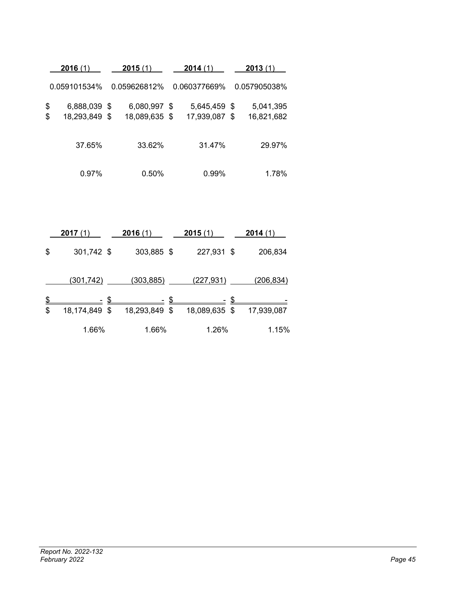|    | 2016(1)      | 2015(1) |               |      | 2014(1)      |      | 2013 (1      |  |  |
|----|--------------|---------|---------------|------|--------------|------|--------------|--|--|
|    | 0.059101534% |         | 0.059626812%  |      | 0.060377669% |      | 0.057905038% |  |  |
| \$ | 6,888,039 \$ |         | 6,080,997     | - \$ | 5,645,459 \$ |      | 5,041,395    |  |  |
| \$ | 18,293,849   | S       | 18,089,635 \$ |      | 17,939,087   | - \$ | 16,821,682   |  |  |
|    | 37.65%       |         | 33.62%        |      | 31.47%       |      | 29.97%       |  |  |
|    | 0.97%        |         | 0.50%         |      | $0.99\%$     |      | 1.78%        |  |  |

| 2017(1)             | 2016(1)       |      | 2015(1)       | 2014(1)    |
|---------------------|---------------|------|---------------|------------|
| \$<br>301,742 \$    | 303,885 \$    |      | 227,931 \$    | 206,834    |
| (301, 742)          | (303, 885)    |      | (227, 931)    | (206,834)  |
|                     |               | - \$ |               |            |
| \$<br>18,174,849 \$ | 18,293,849 \$ |      | 18,089,635 \$ | 17,939,087 |
| 1.66%               | 1.66%         |      | 1.26%         | 1.15%      |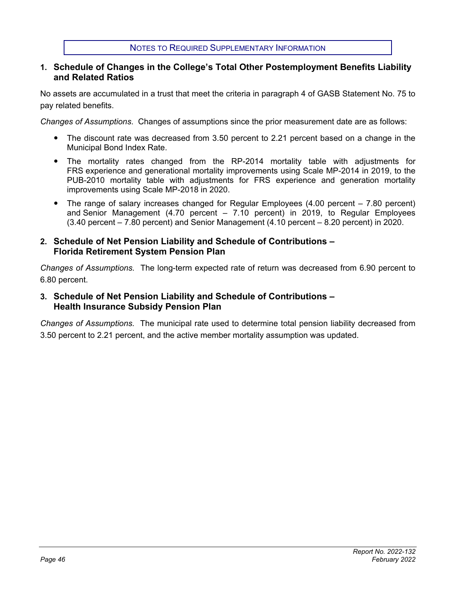# <span id="page-49-0"></span>**1. Schedule of Changes in the College's Total Other Postemployment Benefits Liability and Related Ratios**

No assets are accumulated in a trust that meet the criteria in paragraph 4 of GASB Statement No. 75 to pay related benefits.

*Changes of Assumptions*. Changes of assumptions since the prior measurement date are as follows:

- The discount rate was decreased from 3.50 percent to 2.21 percent based on a change in the Municipal Bond Index Rate.
- The mortality rates changed from the RP-2014 mortality table with adjustments for FRS experience and generational mortality improvements using Scale MP-2014 in 2019, to the PUB-2010 mortality table with adjustments for FRS experience and generation mortality improvements using Scale MP-2018 in 2020.
- The range of salary increases changed for Regular Employees  $(4.00$  percent 7.80 percent) and Senior Management (4.70 percent – 7.10 percent) in 2019, to Regular Employees (3.40 percent – 7.80 percent) and Senior Management (4.10 percent – 8.20 percent) in 2020.

# **2. Schedule of Net Pension Liability and Schedule of Contributions – Florida Retirement System Pension Plan**

*Changes of Assumptions.* The long-term expected rate of return was decreased from 6.90 percent to 6.80 percent.

# **3. Schedule of Net Pension Liability and Schedule of Contributions – Health Insurance Subsidy Pension Plan**

*Changes of Assumptions.* The municipal rate used to determine total pension liability decreased from 3.50 percent to 2.21 percent, and the active member mortality assumption was updated.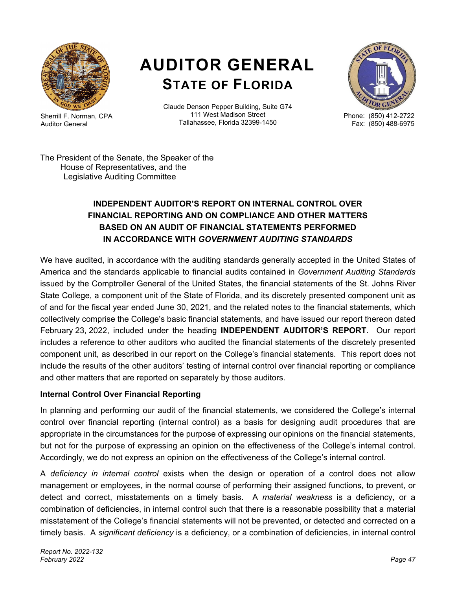<span id="page-50-0"></span>

Sherrill F. Norman, CPA Auditor General

# **AUDITOR GENERAL STATE OF FLORIDA**

Claude Denson Pepper Building, Suite G74 111 West Madison Street Tallahassee, Florida 32399-1450



Phone: (850) 412-2722 Fax: (850) 488-6975

The President of the Senate, the Speaker of the House of Representatives, and the Legislative Auditing Committee

# **INDEPENDENT AUDITOR'S REPORT ON INTERNAL CONTROL OVER FINANCIAL REPORTING AND ON COMPLIANCE AND OTHER MATTERS BASED ON AN AUDIT OF FINANCIAL STATEMENTS PERFORMED IN ACCORDANCE WITH** *GOVERNMENT AUDITING STANDARDS*

We have audited, in accordance with the auditing standards generally accepted in the United States of America and the standards applicable to financial audits contained in *Government Auditing Standards* issued by the Comptroller General of the United States, the financial statements of the St. Johns River State College, a component unit of the State of Florida, and its discretely presented component unit as of and for the fiscal year ended June 30, 2021, and the related notes to the financial statements, which collectively comprise the College's basic financial statements, and have issued our report thereon dated February 23, 2022, included under the heading **INDEPENDENT AUDITOR'S REPORT**. Our report includes a reference to other auditors who audited the financial statements of the discretely presented component unit, as described in our report on the College's financial statements. This report does not include the results of the other auditors' testing of internal control over financial reporting or compliance and other matters that are reported on separately by those auditors.

# **Internal Control Over Financial Reporting**

In planning and performing our audit of the financial statements, we considered the College's internal control over financial reporting (internal control) as a basis for designing audit procedures that are appropriate in the circumstances for the purpose of expressing our opinions on the financial statements, but not for the purpose of expressing an opinion on the effectiveness of the College's internal control. Accordingly, we do not express an opinion on the effectiveness of the College's internal control.

A *deficiency in internal control* exists when the design or operation of a control does not allow management or employees, in the normal course of performing their assigned functions, to prevent, or detect and correct, misstatements on a timely basis. A *material weakness* is a deficiency, or a combination of deficiencies, in internal control such that there is a reasonable possibility that a material misstatement of the College's financial statements will not be prevented, or detected and corrected on a timely basis. A *significant deficiency* is a deficiency, or a combination of deficiencies, in internal control